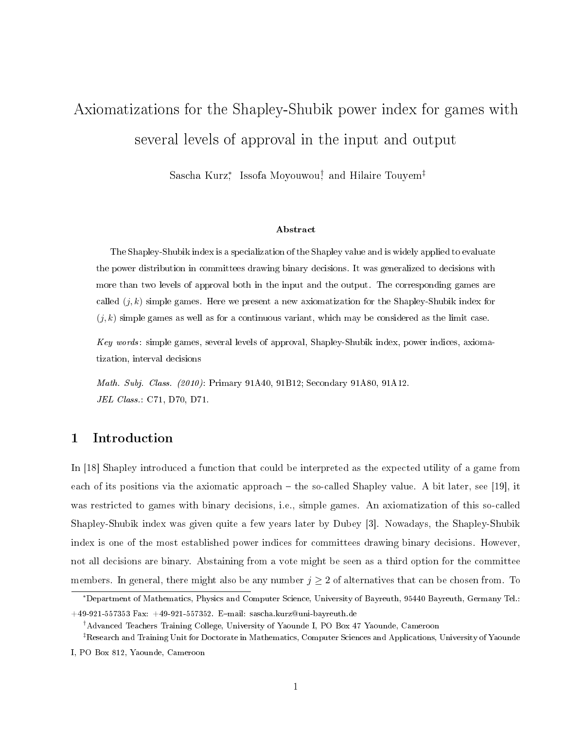# Axiomatizations for the Shapley-Shubik power index for games with several levels of approval in the input and output

Sascha Kurz\* Issofa Moyouwou† and Hilaire Touyem<sup>‡</sup>

#### Abstract

The Shapley-Shubik index is a specialization of the Shapley value and is widely applied to evaluate the power distribution in committees drawing binary decisions. It was generalized to decisions with more than two levels of approval both in the input and the output. The corresponding games are called  $(j, k)$  simple games. Here we present a new axiomatization for the Shapley-Shubik index for  $(j, k)$  simple games as well as for a continuous variant, which may be considered as the limit case.

Key words: simple games, several levels of approval, Shapley-Shubik index, power indices, axiomatization, interval decisions

Math. Subj. Class. (2010): Primary 91A40, 91B12; Secondary 91A80, 91A12. JEL Class.: C71, D70, D71.

### 1 Introduction

In [18] Shapley introduced a function that could be interpreted as the expected utility of a game from each of its positions via the axiomatic approach  $-$  the so-called Shapley value. A bit later, see [19], it was restricted to games with binary decisions, i.e., simple games. An axiomatization of this so-called Shapley-Shubik index was given quite a few years later by Dubey [3]. Nowadays, the Shapley-Shubik index is one of the most established power indices for committees drawing binary decisions. However, not all decisions are binary. Abstaining from a vote might be seen as a third option for the committee members. In general, there might also be any number  $j \geq 2$  of alternatives that can be chosen from. To

<sup>∗</sup>Department of Mathematics, Physics and Computer Science, University of Bayreuth, 95440 Bayreuth, Germany Tel.:  $+49-921-557353$  Fax:  $+49-921-557352$ . E-mail: sascha.kurz@uni-bayreuth.de

<sup>†</sup>Advanced Teachers Training College, University of Yaounde I, PO Box 47 Yaounde, Cameroon

<sup>‡</sup>Research and Training Unit for Doctorate in Mathematics, Computer Sciences and Applications, University of Yaounde

I, PO Box 812, Yaounde, Cameroon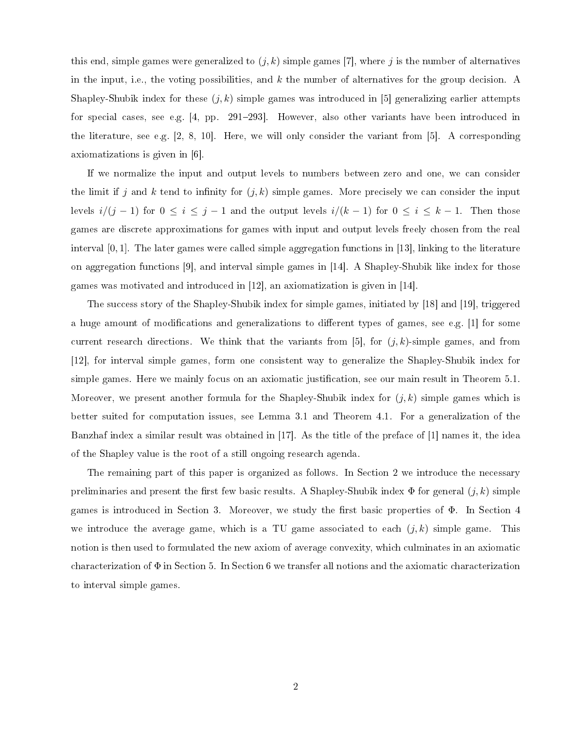this end, simple games were generalized to  $(j, k)$  simple games [7], where j is the number of alternatives in the input, i.e., the voting possibilities, and  $k$  the number of alternatives for the group decision. A Shapley-Shubik index for these  $(j, k)$  simple games was introduced in [5] generalizing earlier attempts for special cases, see e.g. [4, pp. 291-293]. However, also other variants have been introduced in the literature, see e.g. [2, 8, 10]. Here, we will only consider the variant from [5]. A corresponding axiomatizations is given in [6].

If we normalize the input and output levels to numbers between zero and one, we can consider the limit if j and k tend to infinity for  $(j, k)$  simple games. More precisely we can consider the input levels  $i/(j-1)$  for  $0 \le i \le j-1$  and the output levels  $i/(k-1)$  for  $0 \le i \le k-1$ . Then those games are discrete approximations for games with input and output levels freely chosen from the real interval [0, 1]. The later games were called simple aggregation functions in [13], linking to the literature on aggregation functions [9], and interval simple games in [14]. A Shapley-Shubik like index for those games was motivated and introduced in [12], an axiomatization is given in [14].

The success story of the Shapley-Shubik index for simple games, initiated by [18] and [19], triggered a huge amount of modifications and generalizations to different types of games, see e.g. [1] for some current research directions. We think that the variants from [5], for  $(j, k)$ -simple games, and from [12], for interval simple games, form one consistent way to generalize the Shapley-Shubik index for simple games. Here we mainly focus on an axiomatic justification, see our main result in Theorem 5.1. Moreover, we present another formula for the Shapley-Shubik index for  $(j, k)$  simple games which is better suited for computation issues, see Lemma 3.1 and Theorem 4.1. For a generalization of the Banzhaf index a similar result was obtained in [17]. As the title of the preface of [1] names it, the idea of the Shapley value is the root of a still ongoing research agenda.

The remaining part of this paper is organized as follows. In Section 2 we introduce the necessary preliminaries and present the first few basic results. A Shapley-Shubik index  $\Phi$  for general  $(j, k)$  simple games is introduced in Section 3. Moreover, we study the first basic properties of  $\Phi$ . In Section 4 we introduce the average game, which is a TU game associated to each  $(j, k)$  simple game. This notion is then used to formulated the new axiom of average convexity, which culminates in an axiomatic characterization of  $\Phi$  in Section 5. In Section 6 we transfer all notions and the axiomatic characterization to interval simple games.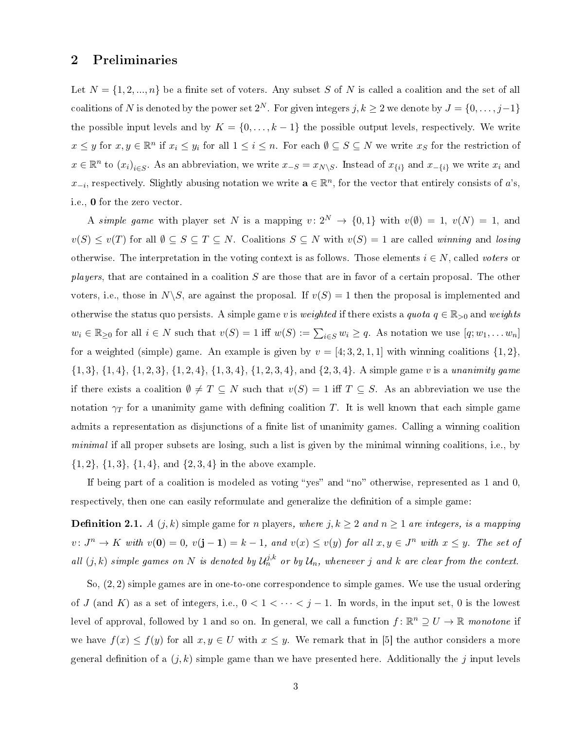### 2 Preliminaries

Let  $N = \{1, 2, ..., n\}$  be a finite set of voters. Any subset S of N is called a coalition and the set of all coalitions of N is denoted by the power set  $2^N$ . For given integers  $j, k \geq 2$  we denote by  $J = \{0, \ldots, j-1\}$ the possible input levels and by  $K = \{0, \ldots, k-1\}$  the possible output levels, respectively. We write  $x \leq y$  for  $x, y \in \mathbb{R}^n$  if  $x_i \leq y_i$  for all  $1 \leq i \leq n$ . For each  $\emptyset \subseteq S \subseteq N$  we write  $x_S$  for the restriction of  $x \in \mathbb{R}^n$  to  $(x_i)_{i \in S}$ . As an abbreviation, we write  $x_{-S} = x_{N \setminus S}$ . Instead of  $x_{\{i\}}$  and  $x_{-\{i\}}$  we write  $x_i$  and  $x_{-i}$ , respectively. Slightly abusing notation we write  $\mathbf{a} \in \mathbb{R}^n$ , for the vector that entirely consists of a's, i.e., 0 for the zero vector.

A simple game with player set N is a mapping  $v: 2^N \rightarrow \{0,1\}$  with  $v(\emptyset) = 1$ ,  $v(N) = 1$ , and  $v(S) \le v(T)$  for all  $\emptyset \subseteq S \subseteq T \subseteq N$ . Coalitions  $S \subseteq N$  with  $v(S) = 1$  are called winning and losing otherwise. The interpretation in the voting context is as follows. Those elements  $i \in N$ , called voters or *players*, that are contained in a coalition S are those that are in favor of a certain proposal. The other voters, i.e., those in  $N\backslash S$ , are against the proposal. If  $v(S) = 1$  then the proposal is implemented and otherwise the status quo persists. A simple game v is weighted if there exists a quota  $q \in \mathbb{R}_{\geq 0}$  and weights  $w_i \in \mathbb{R}_{\geq 0}$  for all  $i \in N$  such that  $v(S) = 1$  iff  $w(S) := \sum_{i \in S} w_i \geq q$ . As notation we use  $[q; w_1, \dots w_n]$ for a weighted (simple) game. An example is given by  $v = [4, 3, 2, 1, 1]$  with winning coalitions  $\{1, 2\}$ ,  ${1, 3}, {1, 4}, {1, 2, 3}, {1, 2, 4}, {1, 3, 4}, {1, 2, 3, 4}, \text{ and } {2, 3, 4}.$  A simple game v is a unanimity game if there exists a coalition  $\emptyset \neq T \subseteq N$  such that  $v(S) = 1$  iff  $T \subseteq S$ . As an abbreviation we use the notation  $\gamma_T$  for a unanimity game with defining coalition T. It is well known that each simple game admits a representation as disjunctions of a finite list of unanimity games. Calling a winning coalition minimal if all proper subsets are losing, such a list is given by the minimal winning coalitions, i.e., by  $\{1,2\}, \{1,3\}, \{1,4\}, \text{and } \{2,3,4\} \text{ in the above example.}$ 

If being part of a coalition is modeled as voting "yes" and "no" otherwise, represented as  $1$  and  $0$ , respectively, then one can easily reformulate and generalize the definition of a simple game:

**Definition 2.1.** A  $(j, k)$  simple game for n players, where  $j, k \ge 2$  and  $n \ge 1$  are integers, is a mapping  $v\colon J^n\to K$  with  $v(\mathbf{0})=0$ ,  $v(\mathbf{j}-\mathbf{1})=k-1$ , and  $v(x)\leq v(y)$  for all  $x,y\in J^n$  with  $x\leq y$ . The set of all  $(j,k)$  simple games on N is denoted by  $\mathcal{U}_n^{j,k}$  or by  $\mathcal{U}_n$ , whenever j and k are clear from the context.

So, (2, 2) simple games are in one-to-one correspondence to simple games. We use the usual ordering of J (and K) as a set of integers, i.e.,  $0 < 1 < \cdots < j-1$ . In words, in the input set, 0 is the lowest level of approval, followed by 1 and so on. In general, we call a function  $f: \mathbb{R}^n \supseteq U \to \mathbb{R}$  monotone if we have  $f(x) \leq f(y)$  for all  $x, y \in U$  with  $x \leq y$ . We remark that in [5] the author considers a more general definition of a  $(j, k)$  simple game than we have presented here. Additionally the j input levels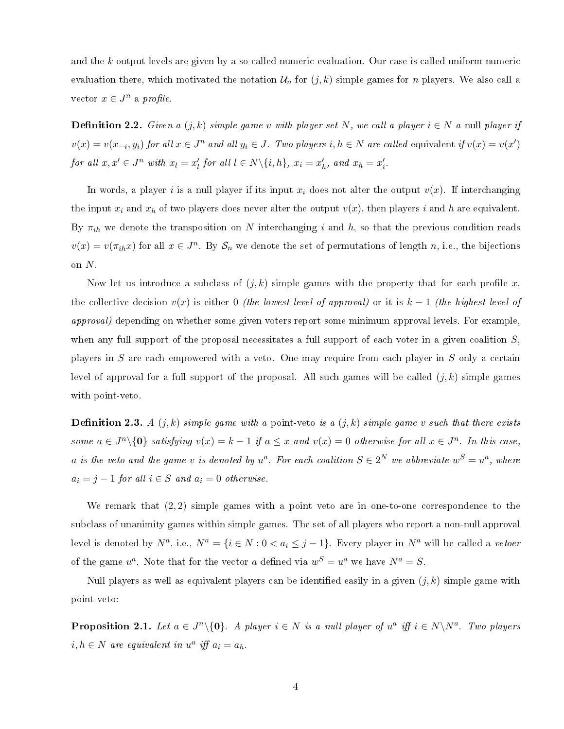and the k output levels are given by a so-called numeric evaluation. Our case is called uniform numeric evaluation there, which motivated the notation  $\mathcal{U}_n$  for  $(j, k)$  simple games for n players. We also call a vector  $x \in J^n$  a profile.

**Definition 2.2.** Given a  $(j, k)$  simple game v with player set N, we call a player  $i \in N$  a null player if  $v(x) = v(x_{-i}, y_i)$  for all  $x \in J^n$  and all  $y_i \in J$ . Two players  $i, h \in N$  are called equivalent if  $v(x) = v(x')$ for all  $x, x' \in J^n$  with  $x_l = x'_l$  for all  $l \in N \setminus \{i, h\}$ ,  $x_i = x'_h$ , and  $x_h = x'_i$ .

In words, a player i is a null player if its input  $x_i$  does not alter the output  $v(x)$ . If interchanging the input  $x_i$  and  $x_h$  of two players does never alter the output  $v(x)$ , then players i and h are equivalent. By  $\pi_{ih}$  we denote the transposition on N interchanging i and h, so that the previous condition reads  $v(x) = v(\pi_{ih}x)$  for all  $x \in J^n$ . By  $\mathcal{S}_n$  we denote the set of permutations of length n, i.e., the bijections on N.

Now let us introduce a subclass of  $(j, k)$  simple games with the property that for each profile x, the collective decision  $v(x)$  is either 0 (the lowest level of approval) or it is  $k-1$  (the highest level of approval) depending on whether some given voters report some minimum approval levels. For example, when any full support of the proposal necessitates a full support of each voter in a given coalition  $S$ , players in S are each empowered with a veto. One may require from each player in S only a certain level of approval for a full support of the proposal. All such games will be called  $(j, k)$  simple games with point-veto.

**Definition 2.3.** A  $(j, k)$  simple game with a point-veto is a  $(j, k)$  simple game v such that there exists some  $a \in J^n \setminus \{0\}$  satisfying  $v(x) = k - 1$  if  $a \leq x$  and  $v(x) = 0$  otherwise for all  $x \in J^n$ . In this case, a is the veto and the game v is denoted by  $u^a$ . For each coalition  $S \in 2^N$  we abbreviate  $w^S = u^a$ , where  $a_i = j - 1$  for all  $i \in S$  and  $a_i = 0$  otherwise.

We remark that  $(2, 2)$  simple games with a point veto are in one-to-one correspondence to the subclass of unanimity games within simple games. The set of all players who report a non-null approval level is denoted by  $N^a$ , i.e.,  $N^a = \{i \in N : 0 < a_i \leq j-1\}$ . Every player in  $N^a$  will be called a vetoer of the game  $u^a$ . Note that for the vector a defined via  $w^S = u^a$  we have  $N^a = S$ .

Null players as well as equivalent players can be identified easily in a given  $(j, k)$  simple game with point-veto:

**Proposition 2.1.** Let  $a \in J^n \setminus \{0\}$ . A player  $i \in N$  is a null player of  $u^a$  iff  $i \in N \setminus N^a$ . Two players  $i, h \in N$  are equivalent in  $u^a$  iff  $a_i = a_h$ .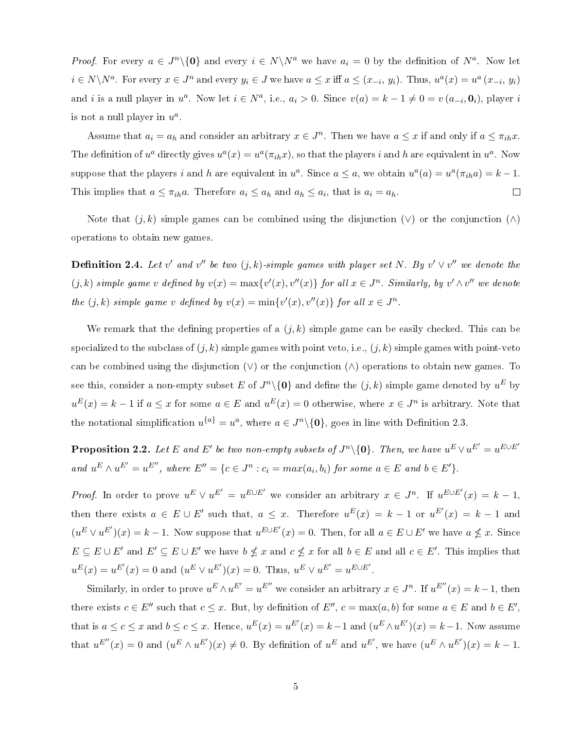*Proof.* For every  $a \in J^n \setminus \{0\}$  and every  $i \in N \setminus N^a$  we have  $a_i = 0$  by the definition of  $N^a$ . Now let  $i \in N \backslash N^a$ . For every  $x \in J^n$  and every  $y_i \in J$  we have  $a \leq x$  iff  $a \leq (x_{-i}, y_i)$ . Thus,  $u^a(x) = u^a(x_{-i}, y_i)$ and *i* is a null player in  $u^a$ . Now let  $i \in N^a$ , i.e.,  $a_i > 0$ . Since  $v(a) = k - 1 \neq 0 = v(a_{-i}, \mathbf{0}_i)$ , player *i* is not a null player in  $u^a$ .

Assume that  $a_i = a_h$  and consider an arbitrary  $x \in J^n$ . Then we have  $a \leq x$  if and only if  $a \leq \pi_{ih} x$ . The definition of  $u^a$  directly gives  $u^a(x) = u^a(\pi_{ih}x)$ , so that the players *i* and *h* are equivalent in  $u^a$ . Now suppose that the players i and h are equivalent in  $u^a$ . Since  $a \le a$ , we obtain  $u^a(a) = u^a(\pi_{ih}a) = k - 1$ . This implies that  $a \leq \pi_{ih}a$ . Therefore  $a_i \leq a_h$  and  $a_h \leq a_i$ , that is  $a_i = a_h$ .  $\Box$ 

Note that  $(j, k)$  simple games can be combined using the disjunction  $(\vee)$  or the conjunction  $(\wedge)$ operations to obtain new games.

**Definition 2.4.** Let v' and v'' be two  $(j, k)$ -simple games with player set N. By v'  $\vee$  v'' we denote the  $(j, k)$  simple game v defined by  $v(x) = \max\{v'(x), v''(x)\}\$ for all  $x \in J^n$ . Similarly, by  $v' \wedge v''$  we denote the  $(j, k)$  simple game v defined by  $v(x) = \min\{v'(x), v''(x)\}$  for all  $x \in J^n$ .

We remark that the defining properties of a  $(j, k)$  simple game can be easily checked. This can be specialized to the subclass of  $(j, k)$  simple games with point veto, i.e.,  $(j, k)$  simple games with point-veto can be combined using the disjunction  $(\vee)$  or the conjunction  $(\wedge)$  operations to obtain new games. To see this, consider a non-empty subset E of  $J^n\backslash\{{\bf 0}\}$  and define the  $(j,k)$  simple game denoted by  $u^E$  by  $u^{E}(x) = k - 1$  if  $a \leq x$  for some  $a \in E$  and  $u^{E}(x) = 0$  otherwise, where  $x \in J^{n}$  is arbitrary. Note that the notational simplification  $u^{\{a\}} = u^a$ , where  $a \in J^n \setminus \{0\}$ , goes in line with Definition 2.3.

**Proposition 2.2.** Let E and E' be two non-empty subsets of  $J^n \setminus \{0\}$ . Then, we have  $u^E \vee u^{E'} = u^{E \cup E'}$ and  $u^E \wedge u^{E'} = u^{E''}$ , where  $E'' = \{c \in J^n : c_i = max(a_i, b_i) \text{ for some } a \in E \text{ and } b \in E'\}.$ 

*Proof.* In order to prove  $u^E \vee u^{E'} = u^{E \cup E'}$  we consider an arbitrary  $x \in J^n$ . If  $u^{E \cup E'}(x) = k - 1$ , then there exists  $a \in E \cup E'$  such that,  $a \leq x$ . Therefore  $u^E(x) = k - 1$  or  $u^{E'}(x) = k - 1$  and  $(u^E \vee u^{E'})(x) = k - 1$ . Now suppose that  $u^{E \cup E'}(x) = 0$ . Then, for all  $a \in E \cup E'$  we have  $a \nleq x$ . Since  $E \subseteq E \cup E'$  and  $E' \subseteq E \cup E'$  we have  $b \nleq x$  and  $c \nleq x$  for all  $b \in E$  and all  $c \in E'$ . This implies that  $u^{E}(x) = u^{E'}(x) = 0$  and  $(u^{E} \vee u^{E'})(x) = 0$ . Thus,  $u^{E} \vee u^{E'} = u^{E \cup E'}$ .

Similarly, in order to prove  $u^E \wedge u^{E'} = u^{E''}$  we consider an arbitrary  $x \in J^n$ . If  $u^{E''}(x) = k - 1$ , then there exists  $c \in E''$  such that  $c \leq x$ . But, by definition of  $E'', c = \max(a, b)$  for some  $a \in E$  and  $b \in E'$ , that is  $a \leq c \leq x$  and  $b \leq c \leq x$ . Hence,  $u^{E}(x) = u^{E'}(x) = k-1$  and  $(u^{E} \wedge u^{E'})(x) = k-1$ . Now assume that  $u^{E''}(x) = 0$  and  $(u^{E} \wedge u^{E'})(x) \neq 0$ . By definition of  $u^{E}$  and  $u^{E'}$ , we have  $(u^{E} \wedge u^{E'})(x) = k - 1$ .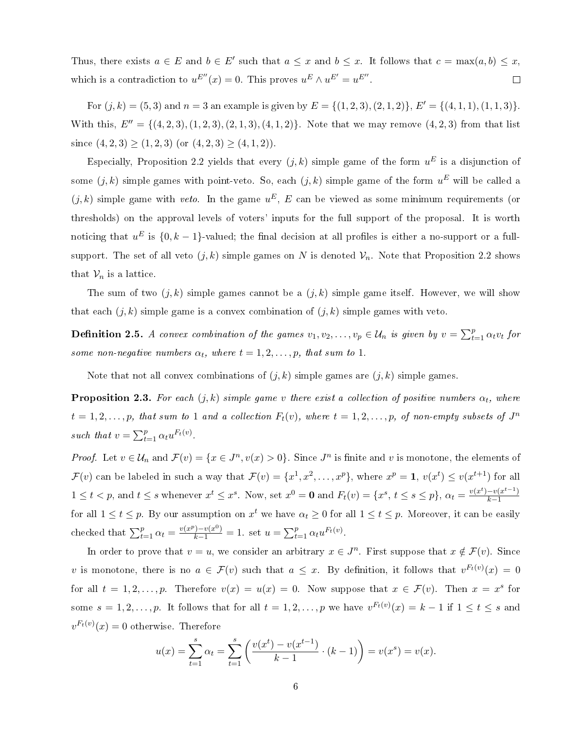Thus, there exists  $a \in E$  and  $b \in E'$  such that  $a \leq x$  and  $b \leq x$ . It follows that  $c = \max(a, b) \leq x$ , which is a contradiction to  $u^{E''}(x) = 0$ . This proves  $u^{E} \wedge u^{E'} = u^{E''}$ .  $\Box$ 

For  $(j, k) = (5, 3)$  and  $n = 3$  an example is given by  $E = \{(1, 2, 3), (2, 1, 2)\}, E' = \{(4, 1, 1), (1, 1, 3)\}.$ With this,  $E'' = \{(4, 2, 3), (1, 2, 3), (2, 1, 3), (4, 1, 2)\}$ . Note that we may remove  $(4, 2, 3)$  from that list since  $(4, 2, 3) \ge (1, 2, 3)$  (or  $(4, 2, 3) \ge (4, 1, 2)$ ).

Especially, Proposition 2.2 yields that every  $(j, k)$  simple game of the form  $u^E$  is a disjunction of some  $(j,k)$  simple games with point-veto. So, each  $(j,k)$  simple game of the form  $u^E$  will be called a  $(j, k)$  simple game with veto. In the game  $u^E$ , E can be viewed as some minimum requirements (or thresholds) on the approval levels of voters' inputs for the full support of the proposal. It is worth noticing that  $u^E$  is  $\{0, k-1\}$ -valued; the final decision at all profiles is either a no-support or a fullsupport. The set of all veto  $(j, k)$  simple games on N is denoted  $\mathcal{V}_n$ . Note that Proposition 2.2 shows that  $\mathcal{V}_n$  is a lattice.

The sum of two  $(j, k)$  simple games cannot be a  $(j, k)$  simple game itself. However, we will show that each  $(j, k)$  simple game is a convex combination of  $(j, k)$  simple games with veto.

**Definition 2.5.** A convex combination of the games  $v_1, v_2, \ldots, v_p \in \mathcal{U}_n$  is given by  $v = \sum_{t=1}^p \alpha_t v_t$  for some non-negative numbers  $\alpha_t$ , where  $t = 1, 2, \ldots, p$ , that sum to 1.

Note that not all convex combinations of  $(j, k)$  simple games are  $(j, k)$  simple games.

**Proposition 2.3.** For each  $(j, k)$  simple game v there exist a collection of positive numbers  $\alpha_t$ , where  $t = 1, 2, \ldots, p$ , that sum to 1 and a collection  $F_t(v)$ , where  $t = 1, 2, \ldots, p$ , of non-empty subsets of  $J^n$ such that  $v = \sum_{t=1}^{p} \alpha_t u^{F_t(v)}$ .

*Proof.* Let  $v \in \mathcal{U}_n$  and  $\mathcal{F}(v) = \{x \in J^n, v(x) > 0\}$ . Since  $J^n$  is finite and v is monotone, the elements of  $\mathcal{F}(v)$  can be labeled in such a way that  $\mathcal{F}(v) = \{x^1, x^2, \ldots, x^p\}$ , where  $x^p = 1$ ,  $v(x^t) \le v(x^{t+1})$  for all  $1 \leq t < p$ , and  $t \leq s$  whenever  $x^t \leq x^s$ . Now, set  $x^0 = \mathbf{0}$  and  $F_t(v) = \{x^s, t \leq s \leq p\}$ ,  $\alpha_t = \frac{v(x^t) - v(x^{t-1})}{k-1}$  $k-1$ for all  $1 \le t \le p$ . By our assumption on  $x^t$  we have  $\alpha_t \ge 0$  for all  $1 \le t \le p$ . Moreover, it can be easily checked that  $\sum_{t=1}^{p} \alpha_t = \frac{v(x^p) - v(x^0)}{k-1} = 1$ . set  $u = \sum_{t=1}^{p} \alpha_t u^{F_t(v)}$ .

In order to prove that  $v = u$ , we consider an arbitrary  $x \in J<sup>n</sup>$ . First suppose that  $x \notin \mathcal{F}(v)$ . Since v is monotone, there is no  $a \in \mathcal{F}(v)$  such that  $a \leq x$ . By definition, it follows that  $v^{F_t(v)}(x) = 0$ for all  $t = 1, 2, ..., p$ . Therefore  $v(x) = u(x) = 0$ . Now suppose that  $x \in \mathcal{F}(v)$ . Then  $x = x^s$  for some  $s = 1, 2, \ldots, p$ . It follows that for all  $t = 1, 2, \ldots, p$  we have  $v^{F_t(v)}(x) = k - 1$  if  $1 \le t \le s$  and  $v^{F_t(v)}(x) = 0$  otherwise. Therefore

$$
u(x) = \sum_{t=1}^{s} \alpha_t = \sum_{t=1}^{s} \left( \frac{v(x^t) - v(x^{t-1})}{k-1} \cdot (k-1) \right) = v(x^s) = v(x).
$$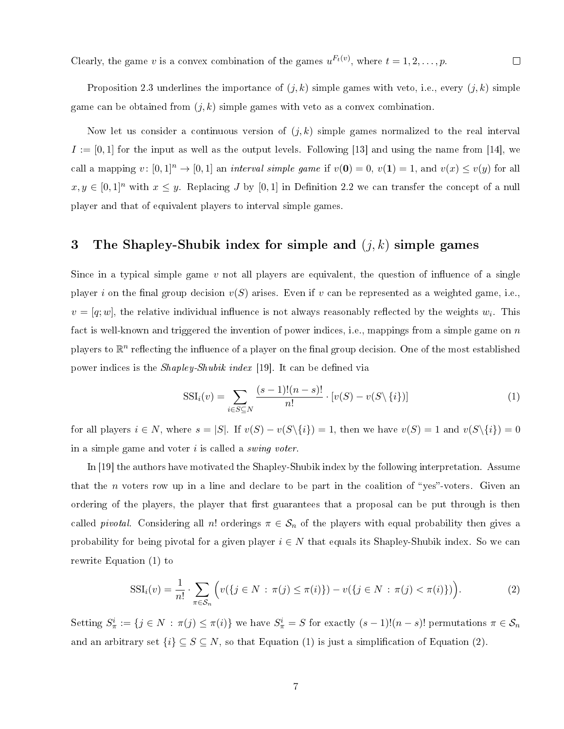Clearly, the game v is a convex combination of the games  $u^{F_t(v)}$ , where  $t = 1, 2, ..., p$ .  $\Box$ 

Proposition 2.3 underlines the importance of  $(j, k)$  simple games with veto, i.e., every  $(j, k)$  simple game can be obtained from  $(j, k)$  simple games with veto as a convex combination.

Now let us consider a continuous version of  $(j, k)$  simple games normalized to the real interval  $I := [0, 1]$  for the input as well as the output levels. Following [13] and using the name from [14], we call a mapping  $v: [0,1]^n \to [0,1]$  an *interval simple game* if  $v(\mathbf{0}) = 0$ ,  $v(\mathbf{1}) = 1$ , and  $v(x) \le v(y)$  for all  $x, y \in [0,1]^n$  with  $x \leq y$ . Replacing J by  $[0,1]$  in Definition 2.2 we can transfer the concept of a null player and that of equivalent players to interval simple games.

## 3 The Shapley-Shubik index for simple and  $(j, k)$  simple games

Since in a typical simple game v not all players are equivalent, the question of influence of a single player i on the final group decision  $v(S)$  arises. Even if v can be represented as a weighted game, i.e.,  $v = [q; w]$ , the relative individual influence is not always reasonably reflected by the weights  $w_i$ . This fact is well-known and triggered the invention of power indices, i.e., mappings from a simple game on  $n$ players to  $\mathbb{R}^n$  reflecting the influence of a player on the final group decision. One of the most established power indices is the *Shapley-Shubik index* [19]. It can be defined via

$$
SSI_i(v) = \sum_{i \in S \subseteq N} \frac{(s-1)!(n-s)!}{n!} \cdot [v(S) - v(S \setminus \{i\})]
$$
\n(1)

for all players  $i \in N$ , where  $s = |S|$ . If  $v(S) - v(S\setminus\{i\}) = 1$ , then we have  $v(S) = 1$  and  $v(S\setminus\{i\}) = 0$ in a simple game and voter  $i$  is called a *swing voter*.

In [19] the authors have motivated the Shapley-Shubik index by the following interpretation. Assume that the n voters row up in a line and declare to be part in the coalition of "yes"-voters. Given an ordering of the players, the player that first guarantees that a proposal can be put through is then called *pivotal*. Considering all n! orderings  $\pi \in S_n$  of the players with equal probability then gives a probability for being pivotal for a given player  $i \in N$  that equals its Shapley-Shubik index. So we can rewrite Equation (1) to

$$
SSI_i(v) = \frac{1}{n!} \cdot \sum_{\pi \in S_n} \Big( v(\{ j \in N : \pi(j) \le \pi(i) \}) - v(\{ j \in N : \pi(j) < \pi(i) \}) \Big). \tag{2}
$$

Setting  $S^i_\pi := \{j \in N : \pi(j) \leq \pi(i)\}\$  we have  $S^i_\pi = S$  for exactly  $(s-1)!(n-s)!$  permutations  $\pi \in S_n$ and an arbitrary set  $\{i\} \subseteq S \subseteq N$ , so that Equation (1) is just a simplification of Equation (2).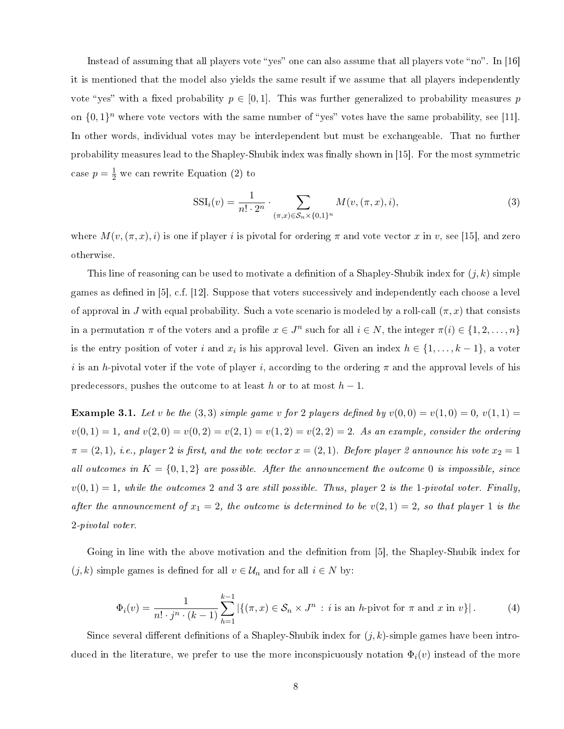Instead of assuming that all players vote "yes" one can also assume that all players vote "no". In  $[16]$ it is mentioned that the model also yields the same result if we assume that all players independently vote "yes" with a fixed probability  $p \in [0,1]$ . This was further generalized to probability measures p on  $\{0,1\}^n$  where vote vectors with the same number of "yes" votes have the same probability, see [11]. In other words, individual votes may be interdependent but must be exchangeable. That no further probability measures lead to the Shapley-Shubik index was finally shown in [15]. For the most symmetric case  $p = \frac{1}{2}$  we can rewrite Equation (2) to

$$
SSI_i(v) = \frac{1}{n! \cdot 2^n} \cdot \sum_{(\pi, x) \in S_n \times \{0, 1\}^n} M(v, (\pi, x), i),
$$
\n(3)

where  $M(v,(\pi, x), i)$  is one if player i is pivotal for ordering  $\pi$  and vote vector x in v, see [15], and zero otherwise.

This line of reasoning can be used to motivate a definition of a Shapley-Shubik index for  $(j, k)$  simple games as defined in  $[5]$ , c.f.  $[12]$ . Suppose that voters successively and independently each choose a level of approval in J with equal probability. Such a vote scenario is modeled by a roll-call  $(\pi, x)$  that consists in a permutation  $\pi$  of the voters and a profile  $x \in J^n$  such for all  $i \in N$ , the integer  $\pi(i) \in \{1, 2, ..., n\}$ is the entry position of voter i and  $x_i$  is his approval level. Given an index  $h \in \{1, \ldots, k-1\}$ , a voter i is an h-pivotal voter if the vote of player i, according to the ordering  $\pi$  and the approval levels of his predecessors, pushes the outcome to at least h or to at most  $h-1$ .

**Example 3.1.** Let v be the (3,3) simple game v for 2 players defined by  $v(0,0) = v(1,0) = 0$ ,  $v(1,1) =$  $v(0, 1) = 1$ , and  $v(2, 0) = v(0, 2) = v(2, 1) = v(1, 2) = v(2, 2) = 2$ . As an example, consider the ordering  $\pi = (2, 1), i.e., player 2 is first, and the vote vector  $x = (2, 1)$ . Before player 2 announced his vote  $x_2 = 1$$ all outcomes in  $K = \{0, 1, 2\}$  are possible. After the announcement the outcome 0 is impossible, since  $v(0, 1) = 1$ , while the outcomes 2 and 3 are still possible. Thus, player 2 is the 1-pivotal voter. Finally, after the announcement of  $x_1 = 2$ , the outcome is determined to be  $v(2, 1) = 2$ , so that player 1 is the 2-pivotal voter.

Going in line with the above motivation and the definition from [5], the Shapley-Shubik index for  $(j, k)$  simple games is defined for all  $v \in \mathcal{U}_n$  and for all  $i \in N$  by:

$$
\Phi_i(v) = \frac{1}{n! \cdot j^n \cdot (k-1)} \sum_{h=1}^{k-1} |\{ (\pi, x) \in \mathcal{S}_n \times J^n : i \text{ is an } h \text{-pivot for } \pi \text{ and } x \text{ in } v \}|. \tag{4}
$$

Since several different definitions of a Shapley-Shubik index for  $(j, k)$ -simple games have been introduced in the literature, we prefer to use the more inconspicuously notation  $\Phi_i(v)$  instead of the more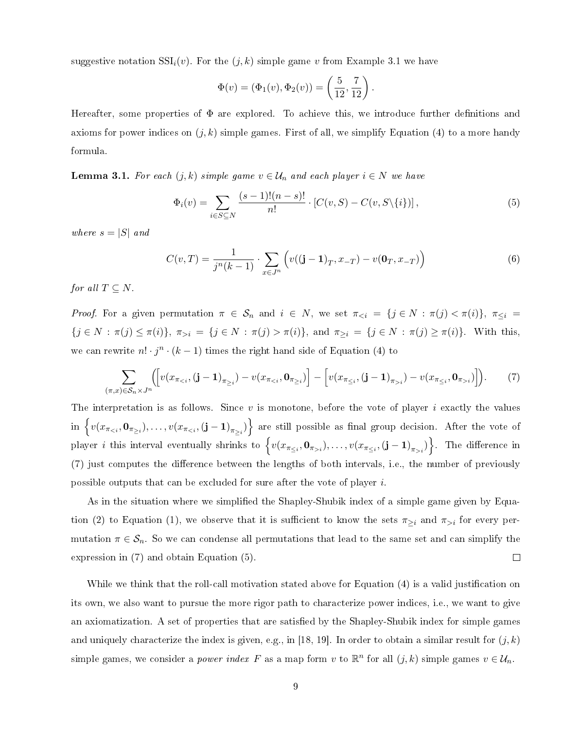suggestive notation  $\text{SSI}_i(v)$ . For the  $(j, k)$  simple game v from Example 3.1 we have

$$
\Phi(v) = (\Phi_1(v), \Phi_2(v)) = \left(\frac{5}{12}, \frac{7}{12}\right).
$$

Hereafter, some properties of  $\Phi$  are explored. To achieve this, we introduce further definitions and axioms for power indices on  $(j, k)$  simple games. First of all, we simplify Equation (4) to a more handy formula.

**Lemma 3.1.** For each  $(j, k)$  simple game  $v \in \mathcal{U}_n$  and each player  $i \in N$  we have

$$
\Phi_i(v) = \sum_{i \in S \subseteq N} \frac{(s-1)!(n-s)!}{n!} \cdot [C(v, S) - C(v, S \setminus \{i\})],
$$
\n(5)

where  $s = |S|$  and

$$
C(v,T) = \frac{1}{j^n(k-1)} \cdot \sum_{x \in J^n} \left( v((\mathbf{j}-1)_T, x_{-T}) - v(\mathbf{0}_T, x_{-T}) \right) \tag{6}
$$

for all  $T \subseteq N$ .

Proof. For a given permutation  $\pi \in S_n$  and  $i \in N$ , we set  $\pi_{\leq i} = \{j \in N : \pi(j) < \pi(i)\}\$ ,  $\pi_{\leq i} =$  ${j \in N : \pi(j) \leq \pi(i)}$ ,  $\pi_{>i} = {j \in N : \pi(j) > \pi(i)}$ , and  $\pi_{\geq i} = {j \in N : \pi(j) \geq \pi(i)}$ . With this, we can rewrite  $n! \cdot j^n \cdot (k-1)$  times the right hand side of Equation (4) to

$$
\sum_{(\pi,x)\in\mathcal{S}_n\times J^n} \left( \left[ v(x_{\pi_{\leq i}}, (\mathbf{j}-\mathbf{1})_{\pi_{\geq i}}) - v(x_{\pi_{\leq i}}, \mathbf{0}_{\pi_{\geq i}}) \right] - \left[ v(x_{\pi_{\leq i}}, (\mathbf{j}-\mathbf{1})_{\pi_{>i}}) - v(x_{\pi_{\leq i}}, \mathbf{0}_{\pi_{>i}}) \right] \right). \tag{7}
$$

The interpretation is as follows. Since  $v$  is monotone, before the vote of player  $i$  exactly the values  $\text{in }\left\{ v(x_{\pi_{\leq i}},\mathbf{0}_{\pi_{\geq i}}),\ldots,v(x_{\pi_{\leq i}},\left(\mathbf{j}-\mathbf{1}\right)_{\pi_{\geq i}})\right\}$  are still possible as final group decision. After the vote of player *i* this interval eventually shrinks to  $\left\{v(x_{\pi_{\leq i}}, \mathbf{0}_{\pi_{>i}}), \ldots, v(x_{\pi_{\leq i}}, (\mathbf{j}-\mathbf{1})_{\pi_{>i}})\right\}$ . The difference in (7) just computes the difference between the lengths of both intervals, i.e., the number of previously possible outputs that can be excluded for sure after the vote of player i.

As in the situation where we simplified the Shapley-Shubik index of a simple game given by Equation (2) to Equation (1), we observe that it is sufficient to know the sets  $\pi_{\geq i}$  and  $\pi_{>i}$  for every permutation  $\pi \in \mathcal{S}_n$ . So we can condense all permutations that lead to the same set and can simplify the expression in (7) and obtain Equation (5).  $\Box$ 

While we think that the roll-call motivation stated above for Equation (4) is a valid justification on its own, we also want to pursue the more rigor path to characterize power indices, i.e., we want to give an axiomatization. A set of properties that are satisfied by the Shapley-Shubik index for simple games and uniquely characterize the index is given, e.g., in [18, 19]. In order to obtain a similar result for  $(j, k)$ simple games, we consider a *power index* F as a map form v to  $\mathbb{R}^n$  for all  $(j, k)$  simple games  $v \in \mathcal{U}_n$ .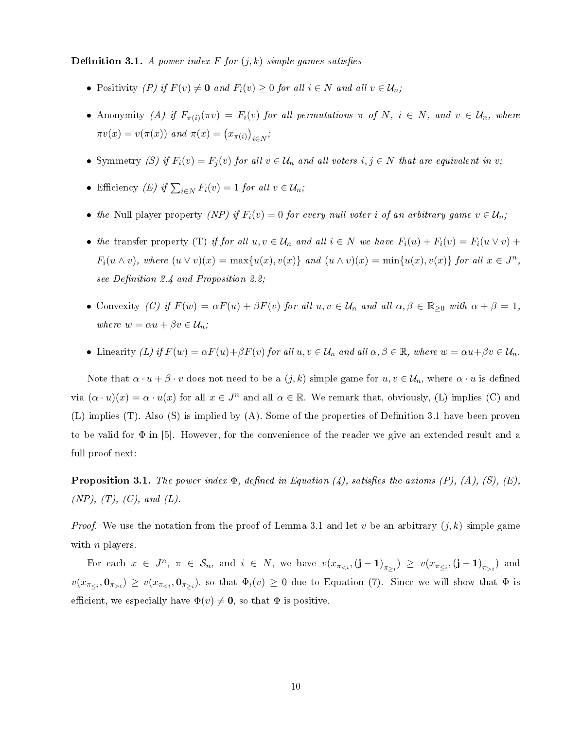**Definition 3.1.** A power index F for  $(j, k)$  simple games satisfies

- Positivity (P) if  $F(v) \neq 0$  and  $F_i(v) \geq 0$  for all  $i \in N$  and all  $v \in \mathcal{U}_n$ ;
- Anonymity (A) if  $F_{\pi(i)}(\pi v) = F_i(v)$  for all permutations  $\pi$  of N,  $i \in N$ , and  $v \in \mathcal{U}_n$ , where  $\pi v(x) = v(\pi(x))$  and  $\pi(x) = (x_{\pi(i)})_{i \in N}$ ;
- Symmetry (S) if  $F_i(v) = F_j(v)$  for all  $v \in \mathcal{U}_n$  and all voters  $i, j \in N$  that are equivalent in v;
- Efficiency (E) if  $\sum_{i\in N} F_i(v) = 1$  for all  $v \in \mathcal{U}_n$ ;
- the Null player property (NP) if  $F_i(v) = 0$  for every null voter i of an arbitrary game  $v \in \mathcal{U}_n$ ;
- the transfer property (T) if for all  $u, v \in \mathcal{U}_n$  and all  $i \in N$  we have  $F_i(u) + F_i(v) = F_i(u \vee v) +$  $F_i(u \wedge v)$ , where  $(u \vee v)(x) = \max\{u(x), v(x)\}\$ and  $(u \wedge v)(x) = \min\{u(x), v(x)\}\$ for all  $x \in J^n$ , see Definition 2.4 and Proposition 2.2;
- Convexity (C) if  $F(w) = \alpha F(u) + \beta F(v)$  for all  $u, v \in \mathcal{U}_n$  and all  $\alpha, \beta \in \mathbb{R}_{\geq 0}$  with  $\alpha + \beta = 1$ , where  $w = \alpha u + \beta v \in \mathcal{U}_n$ ;
- Linearity (L) if  $F(w) = \alpha F(u) + \beta F(v)$  for all  $u, v \in \mathcal{U}_n$  and all  $\alpha, \beta \in \mathbb{R}$ , where  $w = \alpha u + \beta v \in \mathcal{U}_n$ .

Note that  $\alpha \cdot u + \beta \cdot v$  does not need to be a  $(j,k)$  simple game for  $u, v \in \mathcal{U}_n$ , where  $\alpha \cdot u$  is defined via  $(\alpha \cdot u)(x) = \alpha \cdot u(x)$  for all  $x \in J^n$  and all  $\alpha \in \mathbb{R}$ . We remark that, obviously, (L) implies (C) and  $(L)$  implies  $(T)$ . Also  $(S)$  is implied by  $(A)$ . Some of the properties of Definition 3.1 have been proven to be valid for  $\Phi$  in [5]. However, for the convenience of the reader we give an extended result and a full proof next:

**Proposition 3.1.** The power index  $\Phi$ , defined in Equation (4), satisfies the axioms (P), (A), (S), (E),  $(NP), (T), (C), and (L).$ 

*Proof.* We use the notation from the proof of Lemma 3.1 and let v be an arbitrary  $(j, k)$  simple game with  $n$  players.

For each  $x \in J^n$ ,  $\pi \in S_n$ , and  $i \in N$ , we have  $v(x_{\pi_{\leq i}}, (\mathbf{j}-1)_{\pi_{\geq i}}) \geq v(x_{\pi_{\leq i}}, (\mathbf{j}-1)_{\pi_{>i}})$  and  $v(x_{\pi_{\leq i}},\mathbf{0}_{\pi_{>i}})\geq v(x_{\pi_{\leq i}},\mathbf{0}_{\pi_{\geq i}})$ , so that  $\Phi_i(v)\geq 0$  due to Equation (7). Since we will show that  $\Phi$  is efficient, we especially have  $\Phi(v) \neq \mathbf{0}$ , so that  $\Phi$  is positive.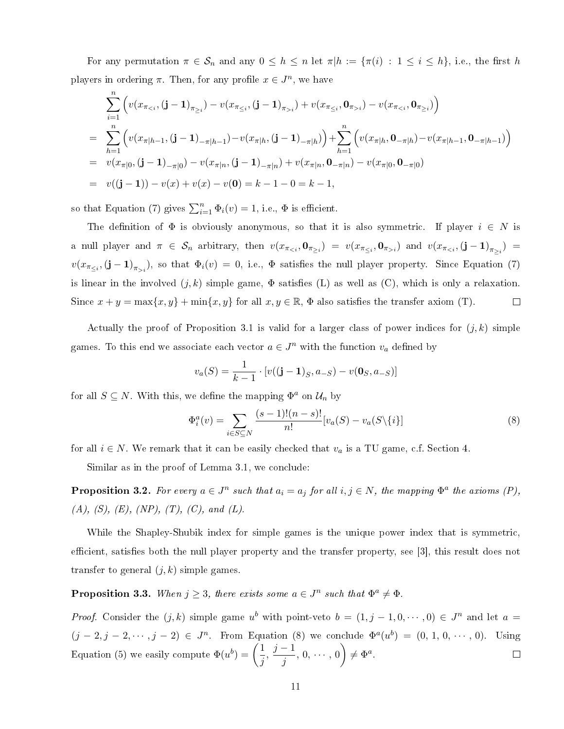For any permutation  $\pi \in \mathcal{S}_n$  and any  $0 \leq h \leq n$  let  $\pi | h := \{\pi(i) : 1 \leq i \leq h\}$ , i.e., the first h players in ordering  $\pi$ . Then, for any profile  $x \in J^n$ , we have

$$
\sum_{i=1}^{n} \left( v(x_{\pi_{\leq i}}, (\mathbf{j} - \mathbf{1})_{\pi_{\geq i}}) - v(x_{\pi_{\leq i}}, (\mathbf{j} - \mathbf{1})_{\pi_{>i}}) + v(x_{\pi_{\leq i}}, \mathbf{0}_{\pi_{>i}}) - v(x_{\pi_{\leq i}}, \mathbf{0}_{\pi_{\geq i}}) \right)
$$
\n
$$
= \sum_{h=1}^{n} \left( v(x_{\pi|h-1}, (\mathbf{j} - \mathbf{1})_{-\pi|h-1}) - v(x_{\pi|h}, (\mathbf{j} - \mathbf{1})_{-\pi|h}) \right) + \sum_{h=1}^{n} \left( v(x_{\pi|h}, \mathbf{0}_{-\pi|h}) - v(x_{\pi|h-1}, \mathbf{0}_{-\pi|h-1}) \right)
$$
\n
$$
= v(x_{\pi|0}, (\mathbf{j} - \mathbf{1})_{-\pi|0}) - v(x_{\pi|n}, (\mathbf{j} - \mathbf{1})_{-\pi|n}) + v(x_{\pi|n}, \mathbf{0}_{-\pi|n}) - v(x_{\pi|0}, \mathbf{0}_{-\pi|0})
$$
\n
$$
= v((\mathbf{j} - \mathbf{1})) - v(x) + v(x) - v(\mathbf{0}) = k - 1 - 0 = k - 1,
$$

so that Equation (7) gives  $\sum_{i=1}^{n} \Phi_i(v) = 1$ , i.e.,  $\Phi$  is efficient.

The definition of  $\Phi$  is obviously anonymous, so that it is also symmetric. If player  $i \in N$  is a null player and  $\pi \in S_n$  arbitrary, then  $v(x_{\pi_{\leq i}}, \mathbf{0}_{\pi_{\geq i}}) = v(x_{\pi_{\leq i}}, \mathbf{0}_{\pi_{>i}})$  and  $v(x_{\pi_{< i}}, (\mathbf{j} - \mathbf{1})_{\pi_{\geq i}}) =$  $v(x_{\pi_{\leq i}},(\mathbf{j}-\mathbf{1})_{\pi_{>i}})$ , so that  $\Phi_i(v) = 0$ , i.e.,  $\Phi$  satisfies the null player property. Since Equation (7) is linear in the involved  $(j, k)$  simple game,  $\Phi$  satisfies (L) as well as (C), which is only a relaxation. Since  $x + y = \max\{x, y\} + \min\{x, y\}$  for all  $x, y \in \mathbb{R}$ ,  $\Phi$  also satisfies the transfer axiom (T).  $\Box$ 

Actually the proof of Proposition 3.1 is valid for a larger class of power indices for  $(j, k)$  simple games. To this end we associate each vector  $a \in J<sup>n</sup>$  with the function  $v_a$  defined by

$$
v_a(S) = \frac{1}{k-1} \cdot [v((j-1)_S, a_{-S}) - v(0_S, a_{-S})]
$$

for all  $S \subseteq N$ . With this, we define the mapping  $\Phi^a$  on  $\mathcal{U}_n$  by

$$
\Phi_i^a(v) = \sum_{i \in S \subseteq N} \frac{(s-1)!(n-s)!}{n!} [v_a(S) - v_a(S \setminus \{i\}] \tag{8}
$$

for all  $i \in N$ . We remark that it can be easily checked that  $v_a$  is a TU game, c.f. Section 4.

Similar as in the proof of Lemma 3.1, we conclude:

**Proposition 3.2.** For every  $a \in J^n$  such that  $a_i = a_j$  for all  $i, j \in N$ , the mapping  $\Phi^a$  the axioms  $(P)$ , (A), (S), (E), (NP), (T), (C), and (L).

While the Shapley-Shubik index for simple games is the unique power index that is symmetric, efficient, satisfies both the null player property and the transfer property, see [3], this result does not transfer to general  $(j, k)$  simple games.

**Proposition 3.3.** When  $j \geq 3$ , there exists some  $a \in J^n$  such that  $\Phi^a \neq \Phi$ .

*Proof.* Consider the  $(j, k)$  simple game  $u^b$  with point-veto  $b = (1, j - 1, 0, \dots, 0) \in J^n$  and let  $a =$  $(j-2, j-2, \dots, j-2) \in J^n$ . From Equation (8) we conclude  $\Phi^a(u^b) = (0, 1, 0, \dots, 0)$ . Using Equation (5) we easily compute  $\Phi(u^b) = \begin{pmatrix} 1 \\ -1 \end{pmatrix}$  $\frac{j}{j}$ ,  $\frac{j-1}{j}$  $\left(\frac{-1}{j}, 0, \cdots, 0\right) \neq \Phi^a.$  $\Box$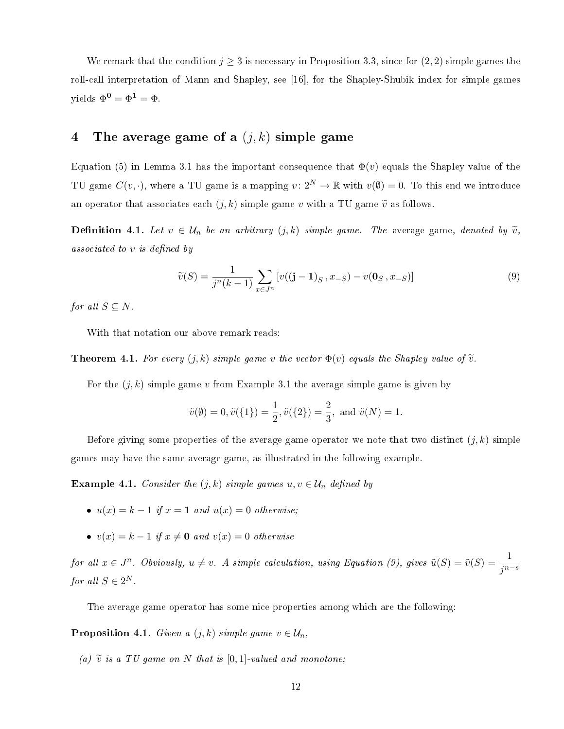We remark that the condition  $j \geq 3$  is necessary in Proposition 3.3, since for  $(2, 2)$  simple games the roll-call interpretation of Mann and Shapley, see [16], for the Shapley-Shubik index for simple games yields  $\Phi^0 = \Phi^1 = \Phi$ .

### 4 The average game of a  $(j, k)$  simple game

Equation (5) in Lemma 3.1 has the important consequence that  $\Phi(v)$  equals the Shapley value of the TU game  $C(v, \cdot)$ , where a TU game is a mapping  $v: 2^N \to \mathbb{R}$  with  $v(\emptyset) = 0$ . To this end we introduce an operator that associates each  $(j, k)$  simple game v with a TU game  $\tilde{v}$  as follows.

**Definition 4.1.** Let  $v \in \mathcal{U}_n$  be an arbitrary  $(j,k)$  simple game. The average game, denoted by  $\tilde{v}$ , associated to  $v$  is defined by

$$
\widetilde{v}(S) = \frac{1}{j^n(k-1)} \sum_{x \in J^n} \left[ v((\mathbf{j} - \mathbf{1})_S, x_{-S}) - v(\mathbf{0}_S, x_{-S}) \right] \tag{9}
$$

for all  $S \subseteq N$ .

With that notation our above remark reads:

**Theorem 4.1.** For every  $(j, k)$  simple game v the vector  $\Phi(v)$  equals the Shapley value of  $\tilde{v}$ .

For the  $(j, k)$  simple game v from Example 3.1 the average simple game is given by

$$
\tilde{v}(\emptyset) = 0, \tilde{v}(\{1\}) = \frac{1}{2}, \tilde{v}(\{2\}) = \frac{2}{3}, \text{ and } \tilde{v}(N) = 1.
$$

Before giving some properties of the average game operator we note that two distinct  $(i, k)$  simple games may have the same average game, as illustrated in the following example.

**Example 4.1.** Consider the  $(j, k)$  simple games  $u, v \in \mathcal{U}_n$  defined by

- $u(x) = k 1$  if  $x = 1$  and  $u(x) = 0$  otherwise;
- $v(x) = k 1$  if  $x \neq 0$  and  $v(x) = 0$  otherwise

 $for\ all\ x\in J^n\quad \textit{Obviously},\ u\neq v.\ \ A\ simple\ calculation,\ using\ Equation\ (9),\ gives\ \tilde{u}(S)=\tilde{v}(S)=\dfrac{1}{j^{n-s}}$ for all  $S \in 2^N$ .

The average game operator has some nice properties among which are the following:

**Proposition 4.1.** Given a  $(j, k)$  simple game  $v \in \mathcal{U}_n$ ,

(a)  $\widetilde{v}$  is a TU game on N that is [0,1]-valued and monotone;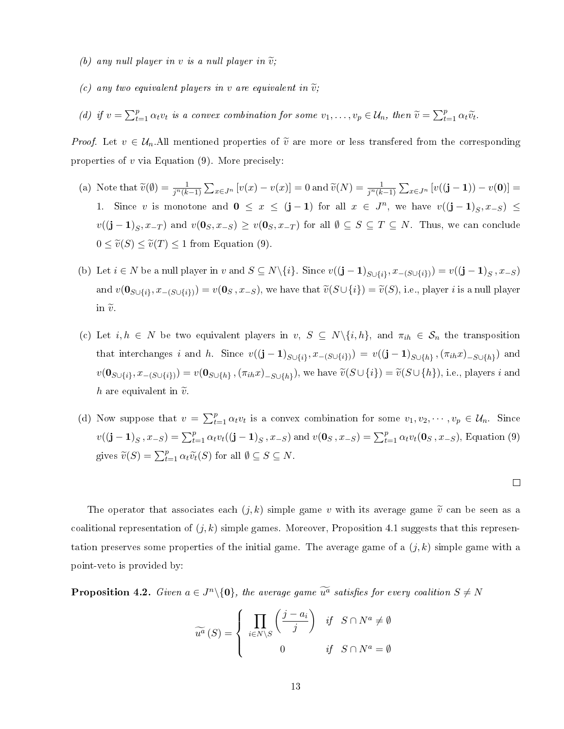- (b) any null player in v is a null player in  $\tilde{v}$ ;
- (c) any two equivalent players in v are equivalent in  $\tilde{v}$ ;
- (d) if  $v = \sum_{t=1}^p \alpha_t v_t$  is a convex combination for some  $v_1, \ldots, v_p \in \mathcal{U}_n$ , then  $\widetilde{v} = \sum_{t=1}^p \alpha_t \widetilde{v}_t$ .

*Proof.* Let  $v \in \mathcal{U}_n$ . All mentioned properties of  $\tilde{v}$  are more or less transfered from the corresponding properties of  $v$  via Equation  $(9)$ . More precisely:

- (a) Note that  $\widetilde{v}(\emptyset) = \frac{1}{j^n(k-1)} \sum_{x \in J^n} [v(x) v(x)] = 0$  and  $\widetilde{v}(N) = \frac{1}{j^n(k-1)} \sum_{x \in J^n} [v((\mathbf{j} \mathbf{1})) v(\mathbf{0})] =$ 1. Since v is monotone and  $0 \le x \le (j-1)$  for all  $x \in J^n$ , we have  $v((j-1)_S, x_{-S}) \le$  $v((\mathbf{j}-\mathbf{1})_S,x_{-T})$  and  $v(\mathbf{0}_S,x_{-S})\geq v(\mathbf{0}_S,x_{-T})$  for all  $\emptyset\subseteq S\subseteq T\subseteq N$ . Thus, we can conclude  $0 \leq \tilde{v}(S) \leq \tilde{v}(T) \leq 1$  from Equation (9).
- (b) Let  $i \in N$  be a null player in v and  $S \subseteq N \setminus \{i\}$ . Since  $v((j-1)_{S \cup \{i\}}, x_{-(S \cup \{i\})}) = v((j-1)_{S}, x_{-S})$ and  $v(\mathbf{0}_{S\cup\{i\}}, x_{-(S\cup\{i\})}) = v(\mathbf{0}_{S}, x_{-S})$ , we have that  $\widetilde{v}(S\cup\{i\}) = \widetilde{v}(S)$ , i.e., player *i* is a null player in  $\tilde{v}$ .
- (c) Let  $i, h \in N$  be two equivalent players in  $v, S \subseteq N\setminus\{i, h\}$ , and  $\pi_{ih} \in S_n$  the transposition that interchanges i and h. Since  $v((j-1)_{S\cup\{i\}}, x_{-(S\cup\{i\})}) = v((j-1)_{S\cup\{h\}}, (\pi_{ih}x)_{-S\cup\{h\}})$  and  $v(\mathbf{0}_{S\cup\{i\}}, x_{-(S\cup\{i\})}) = v(\mathbf{0}_{S\cup\{h\}}, (\pi_{ih}x)_{-S\cup\{h\}})$ , we have  $\widetilde{v}(S\cup\{i\}) = \widetilde{v}(S\cup\{h\})$ , i.e., players i and h are equivalent in  $\tilde{v}$ .
- (d) Now suppose that  $v = \sum_{t=1}^p \alpha_t v_t$  is a convex combination for some  $v_1, v_2, \dots, v_p \in \mathcal{U}_n$ . Since  $v((j-1)_S, x_{-S}) = \sum_{t=1}^p \alpha_t v_t((j-1)_S, x_{-S})$  and  $v(0_S, x_{-S}) = \sum_{t=1}^p \alpha_t v_t(0_S, x_{-S})$ , Equation (9) gives  $\widetilde{v}(S) = \sum_{t=1}^p \alpha_t \widetilde{v}_t(S)$  for all  $\emptyset \subseteq S \subseteq N$ .

 $\Box$ 

The operator that associates each  $(j, k)$  simple game v with its average game  $\tilde{v}$  can be seen as a coalitional representation of  $(j, k)$  simple games. Moreover, Proposition 4.1 suggests that this representation preserves some properties of the initial game. The average game of a  $(j, k)$  simple game with a point-veto is provided by:

**Proposition 4.2.** Given  $a \in J^n \setminus \{0\}$ , the average game  $\widetilde{u^a}$  satisfies for every coalition  $S \neq N$ 

$$
\widetilde{u^a}(S) = \begin{cases} \prod_{i \in N \setminus S} \left( \frac{j - a_i}{j} \right) & if \quad S \cap N^a \neq \emptyset \\ 0 & if \quad S \cap N^a = \emptyset \end{cases}
$$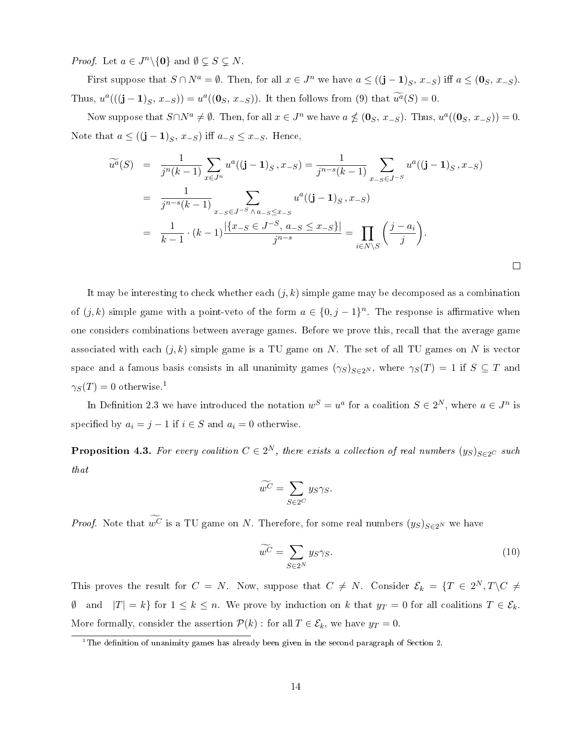*Proof.* Let  $a \in J^n \setminus \{0\}$  and  $\emptyset \subsetneq S \subsetneq N$ .

First suppose that  $S \cap N^a = \emptyset$ . Then, for all  $x \in J^n$  we have  $a \le ((j-1)_S, x_{-S})$  iff  $a \le (0_S, x_{-S})$ . Thus,  $u^a(((\mathbf{j}-\mathbf{1})_S, x_{-S})) = u^a((\mathbf{0}_S, x_{-S}))$ . It then follows from (9) that  $\widetilde{u^a}(S) = 0$ .

Now suppose that  $S \cap N^a \neq \emptyset$ . Then, for all  $x \in J^n$  we have  $a \nleq (\mathbf{0}_S, x_{-S})$ . Thus,  $u^a((\mathbf{0}_S, x_{-S})) = 0$ . Note that  $a \le ((j-1)_S, x_{-S})$  iff  $a_{-S} \le x_{-S}$ . Hence,

$$
\widetilde{u^{a}}(S) = \frac{1}{j^{n}(k-1)} \sum_{x \in J^{n}} u^{a}((j-1)_{S}, x_{-S}) = \frac{1}{j^{n-s}(k-1)} \sum_{x_{-S} \in J^{-S}} u^{a}((j-1)_{S}, x_{-S})
$$
\n
$$
= \frac{1}{j^{n-s}(k-1)} \sum_{x_{-S} \in J^{-S} \land a_{-S} \leq x_{-S}} u^{a}((j-1)_{S}, x_{-S})
$$
\n
$$
= \frac{1}{k-1} \cdot (k-1) \frac{|\{x_{-S} \in J^{-S}, a_{-S} \leq x_{-S}\}|}{j^{n-s}} = \prod_{i \in N \setminus S} \left(\frac{j-a_{i}}{j}\right).
$$

It may be interesting to check whether each  $(j, k)$  simple game may be decomposed as a combination of  $(j, k)$  simple game with a point-veto of the form  $a \in \{0, j - 1\}^n$ . The response is affirmative when one considers combinations between average games. Before we prove this, recall that the average game associated with each  $(j, k)$  simple game is a TU game on N. The set of all TU games on N is vector space and a famous basis consists in all unanimity games  $(\gamma_S)_{S\in 2^N}$ , where  $\gamma_S(T) = 1$  if  $S \subseteq T$  and  $\gamma_S(T) = 0$  otherwise.<sup>1</sup>

In Definition 2.3 we have introduced the notation  $w^S = u^a$  for a coalition  $S \in 2^N$ , where  $a \in J^n$  is specified by  $a_i = j - 1$  if  $i \in S$  and  $a_i = 0$  otherwise.

**Proposition 4.3.** For every coalition  $C \in 2^N$ , there exists a collection of real numbers  $(y_S)_{S \in 2^C}$  such that

$$
\widetilde{w^C} = \sum_{S \in 2^C} y_S \gamma_S.
$$

*Proof.* Note that  $\widetilde{w^C}$  is a TU game on N. Therefore, for some real numbers  $(y_S)_{S \in 2^N}$  we have

$$
\widetilde{w^C} = \sum_{S \in 2^N} y_S \gamma_S. \tag{10}
$$

 $\Box$ 

This proves the result for  $C = N$ . Now, suppose that  $C \neq N$ . Consider  $\mathcal{E}_k = \{T \in 2^N, T \backslash C \neq \emptyset\}$  $\emptyset$  and  $|T| = k$  for  $1 \leq k \leq n$ . We prove by induction on k that  $y_T = 0$  for all coalitions  $T \in \mathcal{E}_k$ . More formally, consider the assertion  $\mathcal{P}(k)$ : for all  $T \in \mathcal{E}_k$ , we have  $y_T = 0$ .

<sup>&</sup>lt;sup>1</sup>The definition of unanimity games has already been given in the second paragraph of Section 2.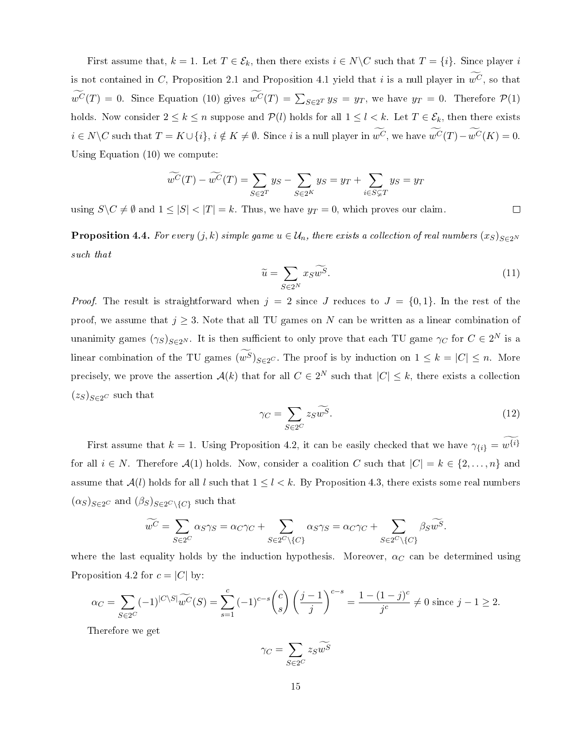First assume that,  $k = 1$ . Let  $T \in \mathcal{E}_k$ , then there exists  $i \in N \backslash C$  such that  $T = \{i\}$ . Since player i is not contained in C, Proposition 2.1 and Proposition 4.1 yield that i is a null player in  $\widetilde{w^C}$ , so that  $w^C(T) = 0$ . Since Equation (10) gives  $w^C(T) = \sum_{S \in 2^T} y_S = y_T$ , we have  $y_T = 0$ . Therefore  $\mathcal{P}(1)$ holds. Now consider  $2 \leq k \leq n$  suppose and  $\mathcal{P}(l)$  holds for all  $1 \leq l \leq k$ . Let  $T \in \mathcal{E}_k$ , then there exists  $i \in N \backslash C$  such that  $T = K \cup \{i\}, i \notin K \neq \emptyset$ . Since i is a null player in  $\widetilde{w^C}$ , we have  $\widetilde{w^C}(T) - \widetilde{w^C}(K) = 0$ . Using Equation (10) we compute:

$$
\widetilde{w^C}(T) - \widetilde{w^C}(T) = \sum_{S \in 2^T} y_S - \sum_{S \in 2^K} y_S = y_T + \sum_{i \in S \subsetneq T} y_S = y_T
$$

using  $S \setminus C \neq \emptyset$  and  $1 \leq |S| < |T| = k$ . Thus, we have  $y_T = 0$ , which proves our claim.

**Proposition 4.4.** For every  $(j, k)$  simple game  $u \in \mathcal{U}_n$ , there exists a collection of real numbers  $(x_S)_{S \in 2^N}$ such that

$$
\widetilde{u} = \sum_{S \in 2^N} x_S \widetilde{w^S}.\tag{11}
$$

*Proof.* The result is straightforward when  $j = 2$  since J reduces to  $J = \{0, 1\}$ . In the rest of the proof, we assume that  $j \geq 3$ . Note that all TU games on N can be written as a linear combination of unanimity games  $(\gamma_S)_{S \in 2^N}$ . It is then sufficient to only prove that each TU game  $\gamma_C$  for  $C \in 2^N$  is a linear combination of the TU games  $(\widetilde{w^S})_{S\in 2^C}$ . The proof is by induction on  $1 \leq k = |C| \leq n$ . More precisely, we prove the assertion  $\mathcal{A}(k)$  that for all  $C \in 2^N$  such that  $|C| \leq k$ , there exists a collection  $(z_S)_{S \in 2^C}$  such that

$$
\gamma_C = \sum_{S \in 2^C} z_S \widetilde{w^S}.\tag{12}
$$

First assume that  $k = 1$ . Using Proposition 4.2, it can be easily checked that we have  $\gamma_{\{i\}} = w^{\{i\}}$ for all  $i \in N$ . Therefore  $\mathcal{A}(1)$  holds. Now, consider a coalition C such that  $|C| = k \in \{2, ..., n\}$  and assume that  $A(l)$  holds for all l such that  $1 \leq l \leq k$ . By Proposition 4.3, there exists some real numbers  $(\alpha_S)_{S \in 2^C}$  and  $(\beta_S)_{S \in 2^C \setminus \{C\}}$  such that

$$
\widetilde{w^C} = \sum_{S \in 2^C} \alpha_S \gamma_S = \alpha_C \gamma_C + \sum_{S \in 2^C \setminus \{C\}} \alpha_S \gamma_S = \alpha_C \gamma_C + \sum_{S \in 2^C \setminus \{C\}} \beta_S \widetilde{w^S}.
$$

where the last equality holds by the induction hypothesis. Moreover,  $\alpha_C$  can be determined using Proposition 4.2 for  $c = |C|$  by:

$$
\alpha_C = \sum_{S \in 2^C} (-1)^{|C \setminus S|} \widetilde{w^C}(S) = \sum_{s=1}^c (-1)^{c-s} {c \choose s} \left(\frac{j-1}{j}\right)^{c-s} = \frac{1 - (1-j)^c}{j^c} \neq 0 \text{ since } j-1 \ge 2.
$$

Therefore we get

$$
\gamma_C = \sum_{S \in 2^C} z_S \widetilde{w^S}
$$

 $\Box$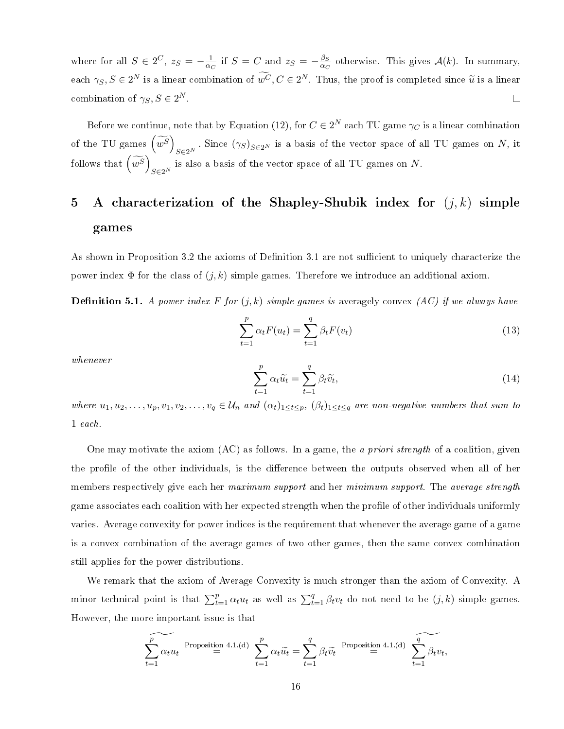where for all  $S \in 2^C$ ,  $z_S = -\frac{1}{\alpha}$  $\frac{1}{\alpha_C}$  if  $S = C$  and  $z_S = -\frac{\beta_S}{\alpha_C}$  $\frac{\beta_S}{\alpha_C}$  otherwise. This gives  $\mathcal{A}(k)$ . In summary, each  $\gamma_S, S \in 2^N$  is a linear combination of  $w^C, C \in 2^N$ . Thus, the proof is completed since  $\widetilde{u}$  is a linear combination of  $\gamma_S, S \in 2^N$ .  $\Box$ 

Before we continue, note that by Equation (12), for  $C \in 2^N$  each TU game  $\gamma_C$  is a linear combination of the TU games  $\left(\widetilde{w^S}\right)$  $S\in 2^N$ . Since  $(\gamma_S)_{S\in 2^N}$  is a basis of the vector space of all TU games on N, it follows that  $\left(\widetilde{w^S}\right)$  $S\in 2^N$  is also a basis of the vector space of all TU games on N.

## 5 A characterization of the Shapley-Shubik index for  $(j, k)$  simple games

As shown in Proposition 3.2 the axioms of Definition 3.1 are not sufficient to uniquely characterize the power index  $\Phi$  for the class of  $(j, k)$  simple games. Therefore we introduce an additional axiom.

**Definition 5.1.** A power index F for  $(j, k)$  simple games is averagely convex  $(AC)$  if we always have

$$
\sum_{t=1}^{p} \alpha_t F(u_t) = \sum_{t=1}^{q} \beta_t F(v_t)
$$
\n(13)

whenever

$$
\sum_{t=1}^{p} \alpha_t \widetilde{u_t} = \sum_{t=1}^{q} \beta_t \widetilde{v_t},\tag{14}
$$

where  $u_1, u_2, \ldots, u_p, v_1, v_2, \ldots, v_q \in \mathcal{U}_n$  and  $(\alpha_t)_{1 \leq t \leq p}$ ,  $(\beta_t)_{1 \leq t \leq q}$  are non-negative numbers that sum to 1 each.

One may motivate the axiom (AC) as follows. In a game, the a priori strength of a coalition, given the profile of the other individuals, is the difference between the outputs observed when all of her members respectively give each her maximum support and her minimum support. The average strength game associates each coalition with her expected strength when the profile of other individuals uniformly varies. Average convexity for power indices is the requirement that whenever the average game of a game is a convex combination of the average games of two other games, then the same convex combination still applies for the power distributions.

We remark that the axiom of Average Convexity is much stronger than the axiom of Convexity. A minor technical point is that  $\sum_{t=1}^{p} \alpha_t u_t$  as well as  $\sum_{t=1}^{q} \beta_t v_t$  do not need to be  $(j, k)$  simple games. However, the more important issue is that

$$
\sum_{t=1}^{p} \alpha_t u_t \stackrel{\text{Proposition 4.1.}(d)}{=} \sum_{t=1}^{p} \alpha_t \widetilde{u}_t = \sum_{t=1}^{q} \beta_t \widetilde{v}_t \stackrel{\text{Proposition 4.1.}(d)}{=} \sum_{t=1}^{q} \widetilde{\beta_t v_t},
$$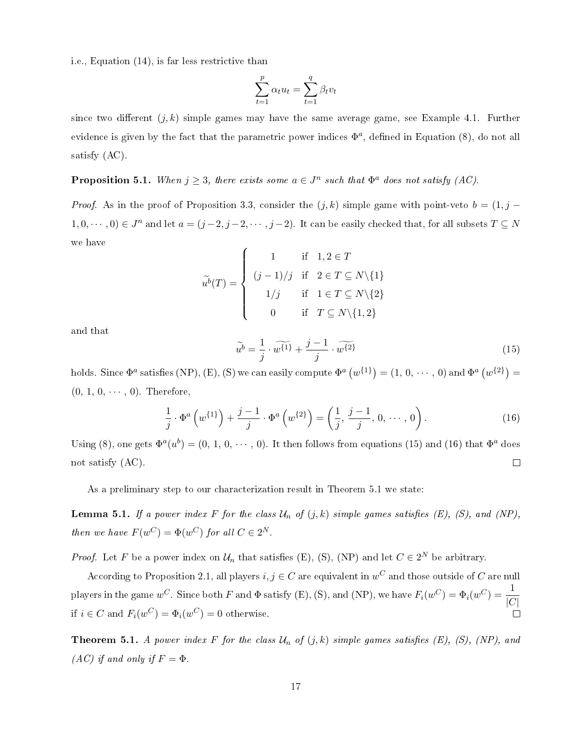i.e., Equation (14), is far less restrictive than

$$
\sum_{t=1}^{p} \alpha_t u_t = \sum_{t=1}^{q} \beta_t v_t
$$

since two different  $(i, k)$  simple games may have the same average game, see Example 4.1. Further evidence is given by the fact that the parametric power indices  $\Phi^a$ , defined in Equation (8), do not all satisfy (AC).

**Proposition 5.1.** When  $j \geq 3$ , there exists some  $a \in J^n$  such that  $\Phi^a$  does not satisfy  $(AC)$ .

*Proof.* As in the proof of Proposition 3.3, consider the  $(j, k)$  simple game with point-veto  $b = (1, j - 1)$  $1, 0, \dots, 0) \in J^n$  and let  $a = (j-2, j-2, \dots, j-2)$ . It can be easily checked that, for all subsets  $T \subseteq N$ we have

$$
\widetilde{u}^{b}(T) = \begin{cases}\n1 & \text{if } 1, 2 \in T \\
(j-1)/j & \text{if } 2 \in T \subseteq N \setminus \{1\} \\
1/j & \text{if } 1 \in T \subseteq N \setminus \{2\} \\
0 & \text{if } T \subseteq N \setminus \{1, 2\}\n\end{cases}
$$

and that

$$
\widetilde{u^b} = \frac{1}{j} \cdot \widetilde{w^{\{1\}}} + \frac{j-1}{j} \cdot \widetilde{w^{\{2\}}}
$$
\n(15)

holds. Since  $\Phi^a$  satisfies (NP), (E), (S) we can easily compute  $\Phi^a(w^{\{1\}})=(1,0,\cdots,0)$  and  $\Phi^a(w^{\{2\}})=$  $(0, 1, 0, \cdots, 0)$ . Therefore,

$$
\frac{1}{j} \cdot \Phi^a \left( w^{\{1\}} \right) + \frac{j-1}{j} \cdot \Phi^a \left( w^{\{2\}} \right) = \left( \frac{1}{j}, \frac{j-1}{j}, 0, \cdots, 0 \right). \tag{16}
$$

Using (8), one gets  $\Phi^a(u^b) = (0, 1, 0, \dots, 0)$ . It then follows from equations (15) and (16) that  $\Phi^a$  does not satisfy (AC).  $\Box$ 

As a preliminary step to our characterization result in Theorem 5.1 we state:

**Lemma 5.1.** If a power index F for the class  $\mathcal{U}_n$  of  $(j, k)$  simple games satisfies  $(E)$ ,  $(S)$ , and  $(NP)$ , then we have  $F(w^C) = \Phi(w^C)$  for all  $C \in 2^N$ .

*Proof.* Let F be a power index on  $\mathcal{U}_n$  that satisfies (E), (S), (NP) and let  $C \in 2^N$  be arbitrary.

According to Proposition 2.1, all players  $i,j\in C$  are equivalent in  $w^C$  and those outside of  $C$  are null players in the game  $w^C$ . Since both F and  $\Phi$  satisfy (E), (S), and (NP), we have  $F_i(w^C) = \Phi_i(w^C) = \frac{1}{|C|}$ if  $i \in C$  and  $F_i(w^C) = \Phi_i(w^C) = 0$  otherwise. П

**Theorem 5.1.** A power index F for the class  $\mathcal{U}_n$  of  $(j, k)$  simple games satisfies (E), (S), (NP), and (AC) if and only if  $F = \Phi$ .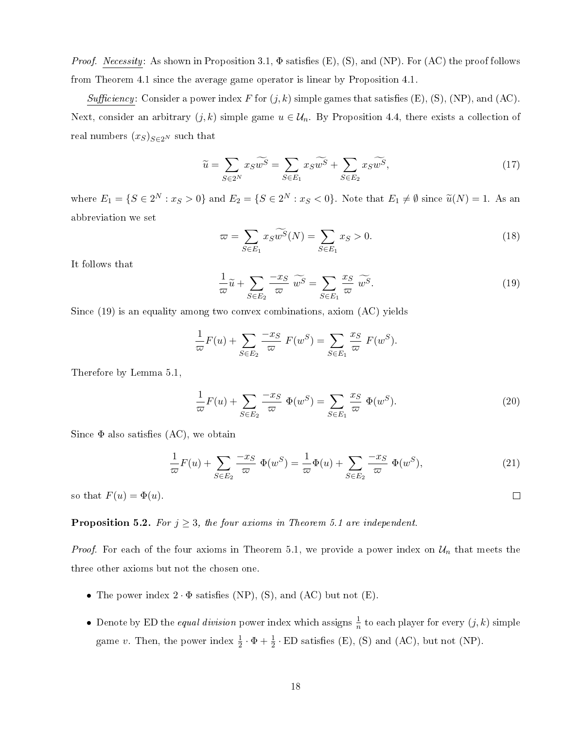*Proof.* Necessity: As shown in Proposition 3.1,  $\Phi$  satisfies  $(E)$ ,  $(S)$ , and  $(NP)$ . For  $(AC)$  the proof follows from Theorem 4.1 since the average game operator is linear by Proposition 4.1.

Sufficiency: Consider a power index F for  $(j, k)$  simple games that satisfies  $(E)$ ,  $(S)$ ,  $(NP)$ , and  $(AC)$ . Next, consider an arbitrary  $(j, k)$  simple game  $u \in \mathcal{U}_n$ . By Proposition 4.4, there exists a collection of real numbers  $(x_S)_{S\in 2^N}$  such that

$$
\widetilde{u} = \sum_{S \in 2^N} x_S \widetilde{w^S} = \sum_{S \in E_1} x_S \widetilde{w^S} + \sum_{S \in E_2} x_S \widetilde{w^S},\tag{17}
$$

where  $E_1 = \{S \in 2^N : x_S > 0\}$  and  $E_2 = \{S \in 2^N : x_S < 0\}$ . Note that  $E_1 \neq \emptyset$  since  $\widetilde{u}(N) = 1$ . As an abbreviation we set

$$
\varpi = \sum_{S \in E_1} x_S \widetilde{w^S}(N) = \sum_{S \in E_1} x_S > 0.
$$
\n(18)

It follows that

$$
\frac{1}{\omega}\widetilde{u} + \sum_{S \in E_2} \frac{-x_S}{\omega} \widetilde{w^S} = \sum_{S \in E_1} \frac{x_S}{\omega} \widetilde{w^S}.
$$
\n(19)

Since (19) is an equality among two convex combinations, axiom (AC) yields

$$
\frac{1}{\varpi}F(u) + \sum_{S \in E_2} \frac{-x_S}{\varpi} F(w^S) = \sum_{S \in E_1} \frac{x_S}{\varpi} F(w^S).
$$

Therefore by Lemma 5.1,

$$
\frac{1}{\varpi}F(u) + \sum_{S \in E_2} \frac{-x_S}{\varpi} \Phi(w^S) = \sum_{S \in E_1} \frac{x_S}{\varpi} \Phi(w^S).
$$
\n(20)

Since  $\Phi$  also satisfies  $(AC)$ , we obtain

$$
\frac{1}{\varpi}F(u) + \sum_{S \in E_2} \frac{-x_S}{\varpi} \Phi(w^S) = \frac{1}{\varpi} \Phi(u) + \sum_{S \in E_2} \frac{-x_S}{\varpi} \Phi(w^S),\tag{21}
$$

 $\Box$ 

so that  $F(u) = \Phi(u)$ .

### **Proposition 5.2.** For  $j \geq 3$ , the four axioms in Theorem 5.1 are independent.

*Proof.* For each of the four axioms in Theorem 5.1, we provide a power index on  $\mathcal{U}_n$  that meets the three other axioms but not the chosen one.

- The power index  $2 \cdot \Phi$  satisfies (NP), (S), and (AC) but not (E).
- Denote by ED the *equal division* power index which assigns  $\frac{1}{n}$  to each player for every  $(j, k)$  simple game v. Then, the power index  $\frac{1}{2} \cdot \Phi + \frac{1}{2} \cdot ED$  satisfies (E), (S) and (AC), but not (NP).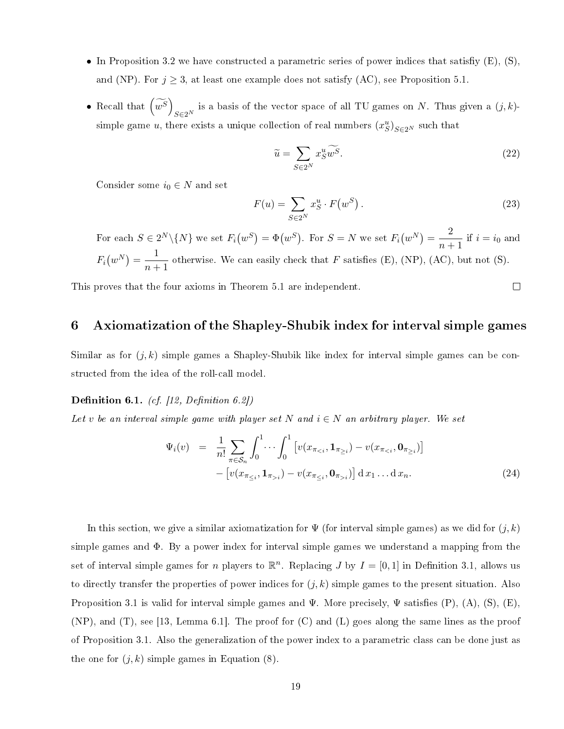- In Proposition 3.2 we have constructed a parametric series of power indices that satisfiy  $(E)$ ,  $(S)$ , and (NP). For  $j \geq 3$ , at least one example does not satisfy (AC), see Proposition 5.1.
- Recall that  $\left(\widetilde{w^S}\right)$  $S\in 2^N$  is a basis of the vector space of all TU games on N. Thus given a  $(j, k)$ simple game u, there exists a unique collection of real numbers  $(x_S^u)_{S \in 2^N}$  such that

$$
\widetilde{u} = \sum_{S \in 2^N} x_S^u \widetilde{w^S}.\tag{22}
$$

Consider some  $i_0 \in N$  and set

$$
F(u) = \sum_{S \in 2^N} x_S^u \cdot F(w^S).
$$
 (23)

 $\Box$ 

For each  $S \in 2^N \setminus \{N\}$  we set  $F_i(w^S) = \Phi(w^S)$ . For  $S = N$  we set  $F_i(w^N) = \frac{2}{\log N}$  $\frac{2}{n+1}$  if  $i = i_0$  and  $F_i(w^N) = \frac{1}{m+1}$  $\frac{1}{n+1}$  otherwise. We can easily check that F satisfies (E), (NP), (AC), but not (S).

This proves that the four axioms in Theorem 5.1 are independent.

### 6 Axiomatization of the Shapley-Shubik index for interval simple games

Similar as for  $(j, k)$  simple games a Shapley-Shubik like index for interval simple games can be constructed from the idea of the roll-call model.

Definition 6.1. (cf. [12, Definition 6.2])

Let v be an interval simple game with player set N and  $i \in N$  an arbitrary player. We set

$$
\Psi_i(v) = \frac{1}{n!} \sum_{\pi \in S_n} \int_0^1 \cdots \int_0^1 \left[ v(x_{\pi_{i}}) - v(x_{\pi_{\le i}}, \mathbf{0}_{\pi_{>i}}) \right] dx_1 \dots dx_n.
$$
\n(24)

In this section, we give a similar axiomatization for  $\Psi$  (for interval simple games) as we did for  $(j, k)$ simple games and Φ. By a power index for interval simple games we understand a mapping from the set of interval simple games for *n* players to  $\mathbb{R}^n$ . Replacing *J* by  $I = [0, 1]$  in Definition 3.1, allows us to directly transfer the properties of power indices for  $(j, k)$  simple games to the present situation. Also Proposition 3.1 is valid for interval simple games and  $\Psi$ . More precisely,  $\Psi$  satisfies  $(P)$ ,  $(A)$ ,  $(S)$ ,  $(E)$ , (NP), and (T), see [13, Lemma 6.1]. The proof for (C) and (L) goes along the same lines as the proof of Proposition 3.1. Also the generalization of the power index to a parametric class can be done just as the one for  $(j, k)$  simple games in Equation (8).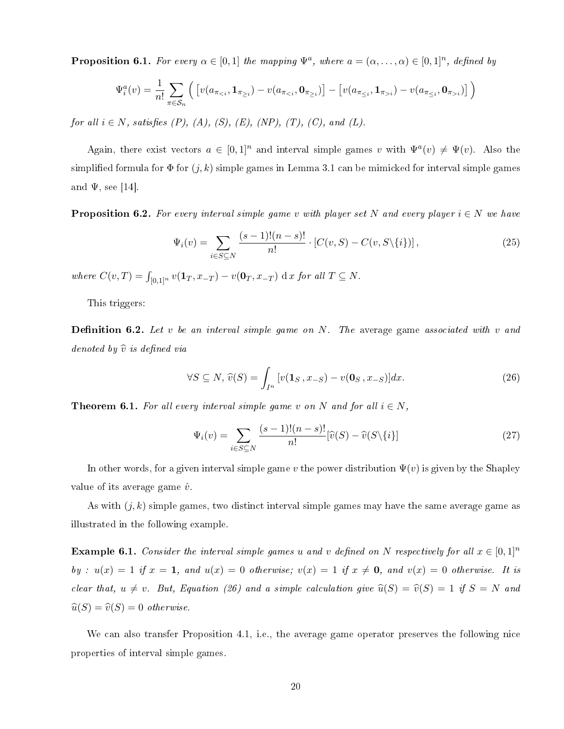**Proposition 6.1.** For every  $\alpha \in [0,1]$  the mapping  $\Psi^a$ , where  $a = (\alpha, \dots, \alpha) \in [0,1]^n$ , defined by

$$
\Psi_i^a(v) = \frac{1}{n!} \sum_{\pi \in S_n} \left( \left[ v(a_{\pi_{&i}}, \mathbf{1}_{\pi_{\geq i}}) - v(a_{\pi_{&i}}, \mathbf{0}_{\pi_{\geq i}}) \right] - \left[ v(a_{\pi_{\leq i}}, \mathbf{1}_{\pi_{>i}}) - v(a_{\pi_{\leq i}}, \mathbf{0}_{\pi_{>i}}) \right] \right)
$$

for all  $i \in N$ , satisfies  $(P)$ ,  $(A)$ ,  $(S)$ ,  $(E)$ ,  $(NP)$ ,  $(T)$ ,  $(C)$ , and  $(L)$ .

Again, there exist vectors  $a \in [0,1]^n$  and interval simple games v with  $\Psi^a(v) \neq \Psi(v)$ . Also the simplified formula for  $\Phi$  for  $(j, k)$  simple games in Lemma 3.1 can be mimicked for interval simple games and  $\Psi$ , see [14].

**Proposition 6.2.** For every interval simple game v with player set N and every player  $i \in N$  we have

$$
\Psi_i(v) = \sum_{i \in S \subseteq N} \frac{(s-1)!(n-s)!}{n!} \cdot [C(v, S) - C(v, S \setminus \{i\})],
$$
\n(25)

where  $C(v,T) = \int_{[0,1]^n} v(\mathbf{1}_T, x_{-T}) - v(\mathbf{0}_T, x_{-T}) \, dx$  for all  $T \subseteq N$ .

This triggers:

**Definition 6.2.** Let v be an interval simple game on  $N$ . The average game associated with v and denoted by  $\widehat{v}$  is defined via

$$
\forall S \subseteq N, \widehat{v}(S) = \int_{I^n} \left[ v(\mathbf{1}_S, x_{-S}) - v(\mathbf{0}_S, x_{-S}) \right] dx. \tag{26}
$$

**Theorem 6.1.** For all every interval simple game v on N and for all  $i \in N$ ,

$$
\Psi_i(v) = \sum_{i \in S \subseteq N} \frac{(s-1)!(n-s)!}{n!} [\widehat{v}(S) - \widehat{v}(S \setminus \{i\}] \tag{27}
$$

In other words, for a given interval simple game v the power distribution  $\Psi(v)$  is given by the Shapley value of its average game  $\hat{v}$ .

As with  $(j, k)$  simple games, two distinct interval simple games may have the same average game as illustrated in the following example.

**Example 6.1.** Consider the interval simple games u and v defined on N respectively for all  $x \in [0,1]^n$ by :  $u(x) = 1$  if  $x = 1$ , and  $u(x) = 0$  otherwise;  $v(x) = 1$  if  $x \neq 0$ , and  $v(x) = 0$  otherwise. It is clear that,  $u \neq v$ . But, Equation (26) and a simple calculation give  $\hat{u}(S) = \hat{v}(S) = 1$  if  $S = N$  and  $\widehat{u}(S) = \widehat{v}(S) = 0$  otherwise.

We can also transfer Proposition 4.1, i.e., the average game operator preserves the following nice properties of interval simple games.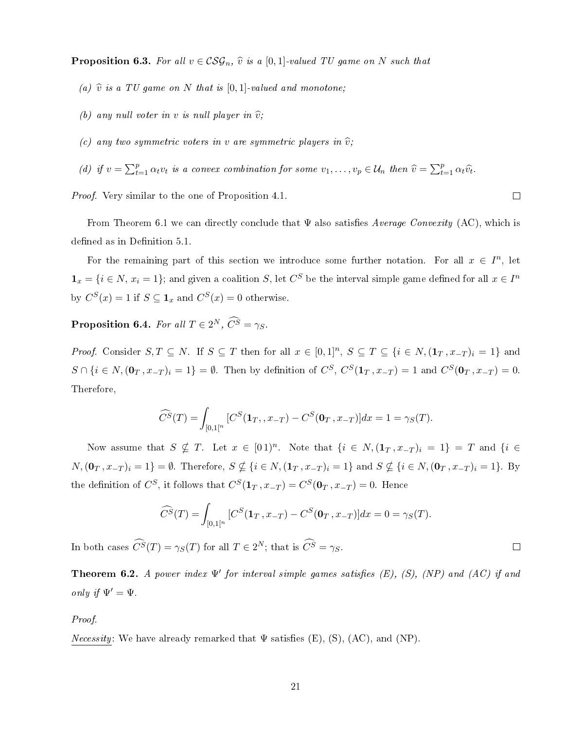**Proposition 6.3.** For all  $v \in \mathcal{CSG}_n$ ,  $\hat{v}$  is a [0, 1]-valued TU game on N such that

- (a)  $\hat{v}$  is a TU game on N that is [0,1]-valued and monotone;
- (b) any null voter in v is null player in  $\hat{v}$ ;
- (c) any two symmetric voters in v are symmetric players in  $\hat{v}$ ;
- (d) if  $v = \sum_{t=1}^p \alpha_t v_t$  is a convex combination for some  $v_1, \ldots, v_p \in \mathcal{U}_n$  then  $\widehat{v} = \sum_{t=1}^p \alpha_t \widehat{v}_t$ .

Proof. Very similar to the one of Proposition 4.1.

From Theorem 6.1 we can directly conclude that  $\Psi$  also satisfies Average Convexity (AC), which is defined as in Definition 5.1.

For the remaining part of this section we introduce some further notation. For all  $x \in I<sup>n</sup>$ , let  $\mathbf{1}_x = \{i \in N, x_i = 1\};$  and given a coalition S, let  $C^S$  be the interval simple game defined for all  $x \in I^n$ by  $C^S(x) = 1$  if  $S \subseteq \mathbf{1}_x$  and  $C^S(x) = 0$  otherwise.

**Proposition 6.4.** For all  $T \in 2^N$ ,  $C^S = \gamma_S$ .

*Proof.* Consider  $S, T \subseteq N$ . If  $S \subseteq T$  then for all  $x \in [0,1]^n$ ,  $S \subseteq T \subseteq \{i \in N, (\mathbf{1}_T, x_{-T})_i = 1\}$  and  $S \cap \{i \in N, (\mathbf{0}_T, x_{-T})_i = 1\} = \emptyset$ . Then by definition of  $C^S$ ,  $C^S(\mathbf{1}_T, x_{-T}) = 1$  and  $C^S(\mathbf{0}_T, x_{-T}) = 0$ . Therefore,

$$
\widehat{C}^{S}(T) = \int_{[0,1[^n} [C^{S}(\mathbf{1}_{T}, , x_{-T}) - C^{S}(\mathbf{0}_{T}, x_{-T})] dx = 1 = \gamma_{S}(T).
$$

Now assume that  $S \nsubseteq T$ . Let  $x \in [01)^n$ . Note that  $\{i \in N, (\mathbf{1}_T, x_{-T})_i = 1\} = T$  and  $\{i \in$  $N,(\mathbf{0}_T, x_{-T})_i = 1$  =  $\emptyset$ . Therefore,  $S \nsubseteq \{i \in N, (\mathbf{1}_T, x_{-T})_i = 1\}$  and  $S \nsubseteq \{i \in N, (\mathbf{0}_T, x_{-T})_i = 1\}$ . By the definition of  $C^S$ , it follows that  $C^S(\mathbf{1}_T, x_{-T}) = C^S(\mathbf{0}_T, x_{-T}) = 0$ . Hence

$$
\widehat{C}^{S}(T) = \int_{[0,1[^n} [C^{S}(\mathbf{1}_{T}, x_{-T}) - C^{S}(\mathbf{0}_{T}, x_{-T})] dx = 0 = \gamma_{S}(T).
$$

In both cases  $\hat{C}^{\hat{S}}(T) = \gamma_S(T)$  for all  $T \in 2^N$ ; that is  $\hat{C}^{\hat{S}} = \gamma_S$ .

**Theorem 6.2.** A power index  $\Psi'$  for interval simple games satisfies (E), (S), (NP) and (AC) if and only if  $\Psi' = \Psi$ .

Proof.

*Necessity:* We have already remarked that  $\Psi$  satisfies (E), (S), (AC), and (NP).

 $\Box$ 

 $\Box$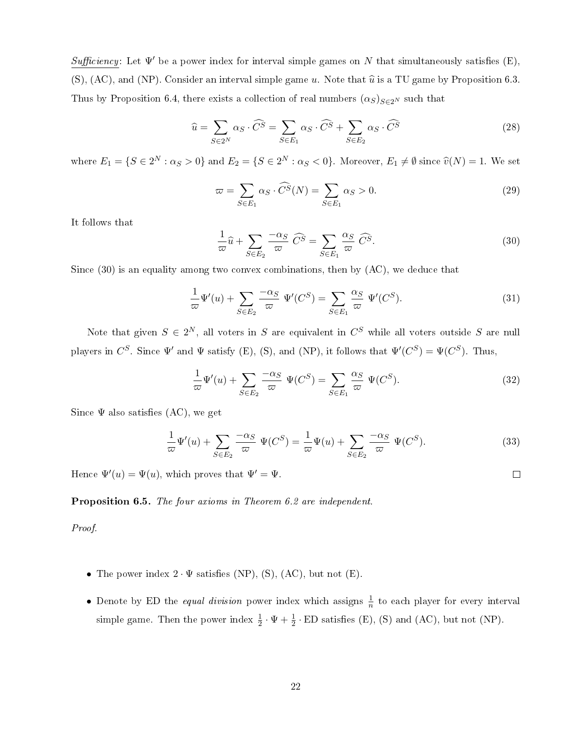Sufficiency: Let  $\Psi'$  be a power index for interval simple games on N that simultaneously satisfies (E), (S), (AC), and (NP). Consider an interval simple game u. Note that  $\hat{u}$  is a TU game by Proposition 6.3. Thus by Proposition 6.4, there exists a collection of real numbers  $(\alpha_S)_{S\in 2^N}$  such that

$$
\widehat{u} = \sum_{S \in 2^N} \alpha_S \cdot \widehat{C}^S = \sum_{S \in E_1} \alpha_S \cdot \widehat{C}^S + \sum_{S \in E_2} \alpha_S \cdot \widehat{C}^S \tag{28}
$$

where  $E_1 = \{S \in 2^N : \alpha_S > 0\}$  and  $E_2 = \{S \in 2^N : \alpha_S < 0\}$ . Moreover,  $E_1 \neq \emptyset$  since  $\widehat{v}(N) = 1$ . We set

$$
\varpi = \sum_{S \in E_1} \alpha_S \cdot \widehat{C}^S(N) = \sum_{S \in E_1} \alpha_S > 0. \tag{29}
$$

It follows that

$$
\frac{1}{\varpi}\widehat{u} + \sum_{S \in E_2} \frac{-\alpha_S}{\varpi} \widehat{C}^S = \sum_{S \in E_1} \frac{\alpha_S}{\varpi} \widehat{C}^S.
$$
 (30)

Since  $(30)$  is an equality among two convex combinations, then by  $(AC)$ , we deduce that

$$
\frac{1}{\varpi}\Psi'(u) + \sum_{S \in E_2} \frac{-\alpha_S}{\varpi} \Psi'(C^S) = \sum_{S \in E_1} \frac{\alpha_S}{\varpi} \Psi'(C^S). \tag{31}
$$

Note that given  $S \in 2^N,$  all voters in  $S$  are equivalent in  $C^S$  while all voters outside  $S$  are null players in  $C^S$ . Since  $\Psi'$  and  $\Psi$  satisfy (E), (S), and (NP), it follows that  $\Psi'(C^S) = \Psi(C^S)$ . Thus,

$$
\frac{1}{\varpi}\Psi'(u) + \sum_{S \in E_2} \frac{-\alpha_S}{\varpi} \Psi(C^S) = \sum_{S \in E_1} \frac{\alpha_S}{\varpi} \Psi(C^S). \tag{32}
$$

Since  $\Psi$  also satisfies  $(AC)$ , we get

$$
\frac{1}{\varpi}\Psi'(u) + \sum_{S \in E_2} \frac{-\alpha_S}{\varpi} \Psi(C^S) = \frac{1}{\varpi}\Psi(u) + \sum_{S \in E_2} \frac{-\alpha_S}{\varpi} \Psi(C^S). \tag{33}
$$

Hence  $\Psi'(u) = \Psi(u)$ , which proves that  $\Psi' = \Psi$ .

Proposition 6.5. The four axioms in Theorem 6.2 are independent.

Proof.

- The power index  $2 \cdot \Psi$  satisfies (NP), (S), (AC), but not (E).
- Denote by ED the *equal division* power index which assigns  $\frac{1}{n}$  to each player for every interval simple game. Then the power index  $\frac{1}{2} \cdot \Psi + \frac{1}{2} \cdot \text{ED satisfies (E), (S) and (AC), but not (NP).}$

 $\Box$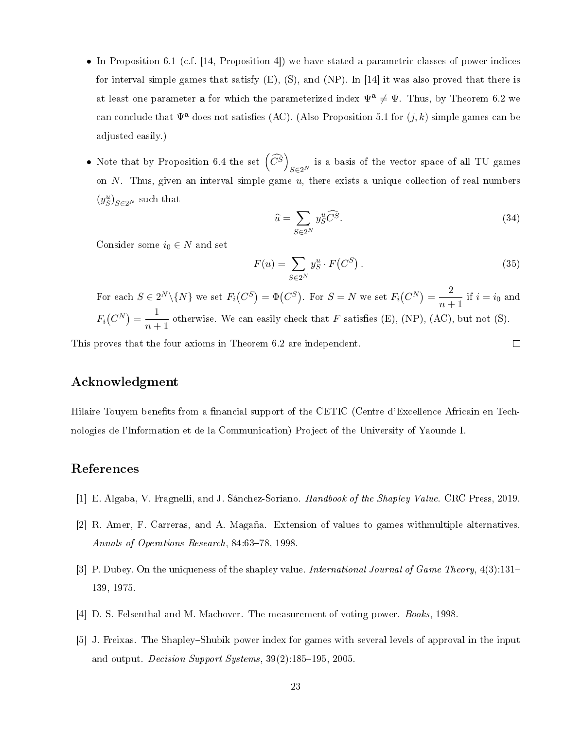- In Proposition 6.1 (c.f. [14, Proposition 4]) we have stated a parametric classes of power indices for interval simple games that satisfy  $(E)$ ,  $(S)$ , and  $(NP)$ . In [14] it was also proved that there is at least one parameter **a** for which the parameterized index  $\Psi^a \neq \Psi$ . Thus, by Theorem 6.2 we can conclude that  $\Psi^a$  does not satisfies (AC). (Also Proposition 5.1 for  $(j, k)$  simple games can be adjusted easily.)
- Note that by Proposition 6.4 the set  $\left(\widehat{C}^{\widetilde{S}}\right)$  $S\in 2^N$  is a basis of the vector space of all TU games on  $N$ . Thus, given an interval simple game  $u$ , there exists a unique collection of real numbers  $(y_S^u)_{S \in 2^N}$  such that

$$
\widehat{u} = \sum_{S \in 2^N} y_S^u \widehat{C}^S. \tag{34}
$$

 $\Box$ 

Consider some  $i_0 \in N$  and set

$$
F(u) = \sum_{S \in 2^N} y_S^u \cdot F(C^S).
$$
\n(35)

For each  $S \in 2^N \setminus \{N\}$  we set  $F_i(C^S) = \Phi(C^S)$ . For  $S = N$  we set  $F_i(C^N) = \frac{2}{\sigma}$  $\frac{2}{n+1}$  if  $i = i_0$  and  $F_i(C^N) = \frac{1}{n+1}$  $\frac{1}{n+1}$  otherwise. We can easily check that F satisfies (E), (NP), (AC), but not (S).

This proves that the four axioms in Theorem 6.2 are independent.

### Acknowledgment

Hilaire Touyem benefits from a financial support of the CETIC (Centre d'Excellence Africain en Technologies de l'Information et de la Communication) Project of the University of Yaounde I.

### References

- [1] E. Algaba, V. Fragnelli, and J. Sánchez-Soriano. Handbook of the Shapley Value. CRC Press, 2019.
- [2] R. Amer, F. Carreras, and A. Magaña. Extension of values to games withmultiple alternatives. Annals of Operations Research, 84:63-78, 1998.
- [3] P. Dubey. On the uniqueness of the shapley value. International Journal of Game Theory, 4(3):131– 139, 1975.
- [4] D. S. Felsenthal and M. Machover. The measurement of voting power. Books, 1998.
- [5] J. Freixas. The Shapley–Shubik power index for games with several levels of approval in the input and output. *Decision Support Systems*,  $39(2):185-195$ , 2005.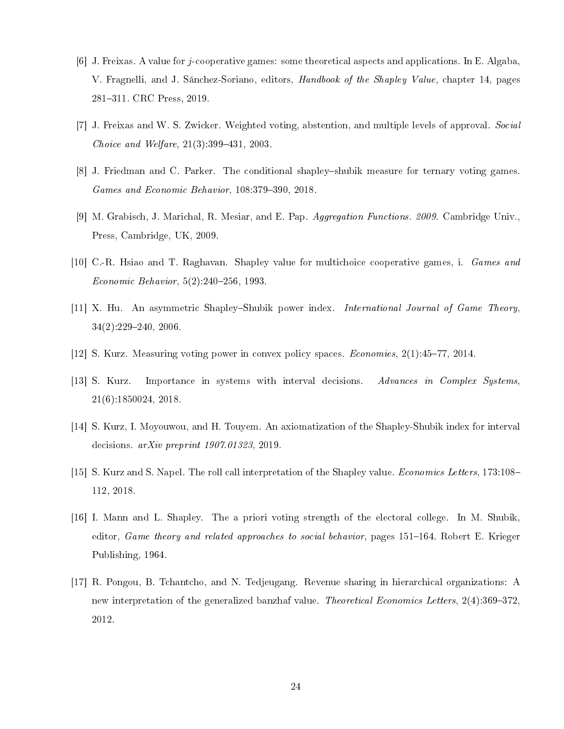- [6] J. Freixas. A value for j-cooperative games: some theoretical aspects and applications. In E. Algaba, V. Fragnelli, and J. Sánchez-Soriano, editors, Handbook of the Shapley Value, chapter 14, pages 281311. CRC Press, 2019.
- [7] J. Freixas and W. S. Zwicker. Weighted voting, abstention, and multiple levels of approval. Social *Choice and Welfare*,  $21(3)$ :  $399-431$ ,  $2003$ .
- [8] J. Friedman and C. Parker. The conditional shapley-shubik measure for ternary voting games. Games and Economic Behavior, 108:379-390, 2018.
- [9] M. Grabisch, J. Marichal, R. Mesiar, and E. Pap. Aggregation Functions. 2009. Cambridge Univ., Press, Cambridge, UK, 2009.
- [10] C.-R. Hsiao and T. Raghavan. Shapley value for multichoice cooperative games, i. Games and Economic Behavior,  $5(2)$ :240-256, 1993.
- [11] X. Hu. An asymmetric Shapley–Shubik power index. *International Journal of Game Theory*,  $34(2):229-240, 2006.$
- [12] S. Kurz. Measuring voting power in convex policy spaces. *Economies*,  $2(1):45-77$ ,  $2014$ .
- [13] S. Kurz. Importance in systems with interval decisions. Advances in Complex Systems, 21(6):1850024, 2018.
- [14] S. Kurz, I. Moyouwou, and H. Touyem. An axiomatization of the Shapley-Shubik index for interval decisions. arXiv preprint 1907.01323, 2019.
- [15] S. Kurz and S. Napel. The roll call interpretation of the Shapley value. *Economics Letters*, 173:108– 112, 2018.
- [16] I. Mann and L. Shapley. The a priori voting strength of the electoral college. In M. Shubik, editor, Game theory and related approaches to social behavior, pages 151–164. Robert E. Krieger Publishing, 1964.
- [17] R. Pongou, B. Tchantcho, and N. Tedjeugang. Revenue sharing in hierarchical organizations: A new interpretation of the generalized banzhaf value. Theoretical Economics Letters,  $2(4):369-372$ , 2012.